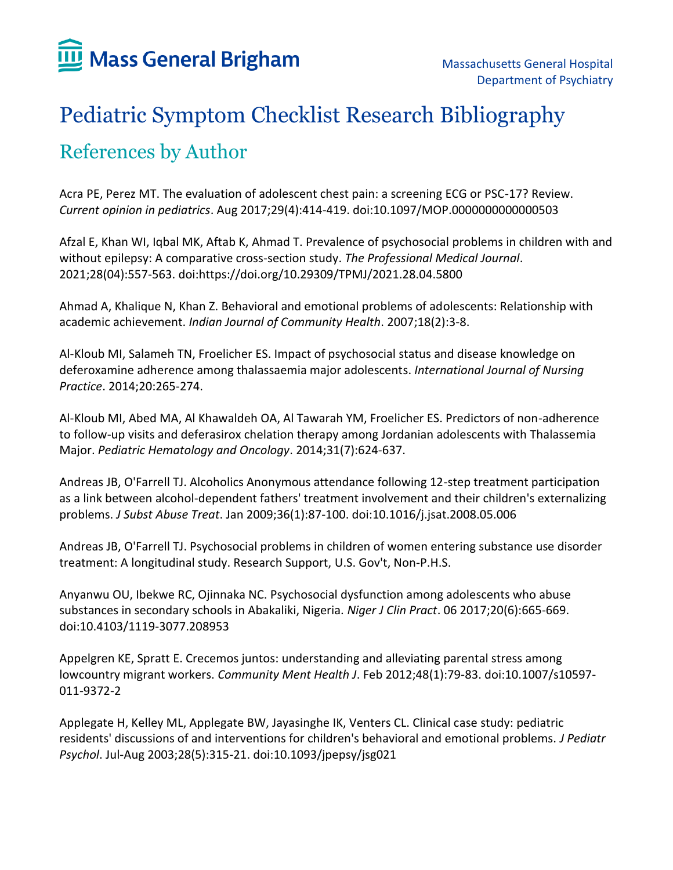## Pediatric Symptom Checklist Research Bibliography References by Author

Acra PE, Perez MT. The evaluation of adolescent chest pain: a screening ECG or PSC-17? Review. *Current opinion in pediatrics*. Aug 2017;29(4):414-419. doi:10.1097/MOP.0000000000000503

Afzal E, Khan WI, Iqbal MK, Aftab K, Ahmad T. Prevalence of psychosocial problems in children with and without epilepsy: A comparative cross-section study. *The Professional Medical Journal*. 2021;28(04):557-563. doi:https://doi.org/10.29309/TPMJ/2021.28.04.5800

Ahmad A, Khalique N, Khan Z. Behavioral and emotional problems of adolescents: Relationship with academic achievement. *Indian Journal of Community Health*. 2007;18(2):3-8.

Al-Kloub MI, Salameh TN, Froelicher ES. Impact of psychosocial status and disease knowledge on deferoxamine adherence among thalassaemia major adolescents. *International Journal of Nursing Practice*. 2014;20:265-274.

Al-Kloub MI, Abed MA, Al Khawaldeh OA, Al Tawarah YM, Froelicher ES. Predictors of non-adherence to follow-up visits and deferasirox chelation therapy among Jordanian adolescents with Thalassemia Major. *Pediatric Hematology and Oncology*. 2014;31(7):624-637.

Andreas JB, O'Farrell TJ. Alcoholics Anonymous attendance following 12-step treatment participation as a link between alcohol-dependent fathers' treatment involvement and their children's externalizing problems. *J Subst Abuse Treat*. Jan 2009;36(1):87-100. doi:10.1016/j.jsat.2008.05.006

Andreas JB, O'Farrell TJ. Psychosocial problems in children of women entering substance use disorder treatment: A longitudinal study. Research Support, U.S. Gov't, Non-P.H.S.

Anyanwu OU, Ibekwe RC, Ojinnaka NC. Psychosocial dysfunction among adolescents who abuse substances in secondary schools in Abakaliki, Nigeria. *Niger J Clin Pract*. 06 2017;20(6):665-669. doi:10.4103/1119-3077.208953

Appelgren KE, Spratt E. Crecemos juntos: understanding and alleviating parental stress among lowcountry migrant workers. *Community Ment Health J*. Feb 2012;48(1):79-83. doi:10.1007/s10597- 011-9372-2

Applegate H, Kelley ML, Applegate BW, Jayasinghe IK, Venters CL. Clinical case study: pediatric residents' discussions of and interventions for children's behavioral and emotional problems. *J Pediatr Psychol*. Jul-Aug 2003;28(5):315-21. doi:10.1093/jpepsy/jsg021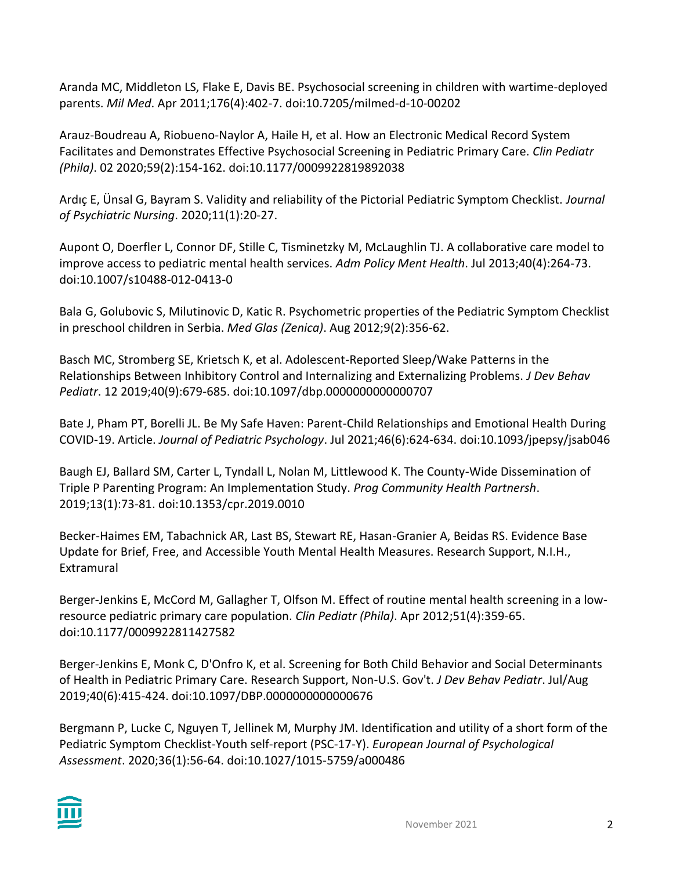Aranda MC, Middleton LS, Flake E, Davis BE. Psychosocial screening in children with wartime-deployed parents. *Mil Med*. Apr 2011;176(4):402-7. doi:10.7205/milmed-d-10-00202

Arauz-Boudreau A, Riobueno-Naylor A, Haile H, et al. How an Electronic Medical Record System Facilitates and Demonstrates Effective Psychosocial Screening in Pediatric Primary Care. *Clin Pediatr (Phila)*. 02 2020;59(2):154-162. doi:10.1177/0009922819892038

Ardıç E, Ünsal G, Bayram S. Validity and reliability of the Pictorial Pediatric Symptom Checklist. *Journal of Psychiatric Nursing*. 2020;11(1):20-27.

Aupont O, Doerfler L, Connor DF, Stille C, Tisminetzky M, McLaughlin TJ. A collaborative care model to improve access to pediatric mental health services. *Adm Policy Ment Health*. Jul 2013;40(4):264-73. doi:10.1007/s10488-012-0413-0

Bala G, Golubovic S, Milutinovic D, Katic R. Psychometric properties of the Pediatric Symptom Checklist in preschool children in Serbia. *Med Glas (Zenica)*. Aug 2012;9(2):356-62.

Basch MC, Stromberg SE, Krietsch K, et al. Adolescent-Reported Sleep/Wake Patterns in the Relationships Between Inhibitory Control and Internalizing and Externalizing Problems. *J Dev Behav Pediatr*. 12 2019;40(9):679-685. doi:10.1097/dbp.0000000000000707

Bate J, Pham PT, Borelli JL. Be My Safe Haven: Parent-Child Relationships and Emotional Health During COVID-19. Article. *Journal of Pediatric Psychology*. Jul 2021;46(6):624-634. doi:10.1093/jpepsy/jsab046

Baugh EJ, Ballard SM, Carter L, Tyndall L, Nolan M, Littlewood K. The County-Wide Dissemination of Triple P Parenting Program: An Implementation Study. *Prog Community Health Partnersh*. 2019;13(1):73-81. doi:10.1353/cpr.2019.0010

Becker-Haimes EM, Tabachnick AR, Last BS, Stewart RE, Hasan-Granier A, Beidas RS. Evidence Base Update for Brief, Free, and Accessible Youth Mental Health Measures. Research Support, N.I.H., Extramural

Berger-Jenkins E, McCord M, Gallagher T, Olfson M. Effect of routine mental health screening in a lowresource pediatric primary care population. *Clin Pediatr (Phila)*. Apr 2012;51(4):359-65. doi:10.1177/0009922811427582

Berger-Jenkins E, Monk C, D'Onfro K, et al. Screening for Both Child Behavior and Social Determinants of Health in Pediatric Primary Care. Research Support, Non-U.S. Gov't. *J Dev Behav Pediatr*. Jul/Aug 2019;40(6):415-424. doi:10.1097/DBP.0000000000000676

Bergmann P, Lucke C, Nguyen T, Jellinek M, Murphy JM. Identification and utility of a short form of the Pediatric Symptom Checklist-Youth self-report (PSC-17-Y). *European Journal of Psychological Assessment*. 2020;36(1):56-64. doi:10.1027/1015-5759/a000486

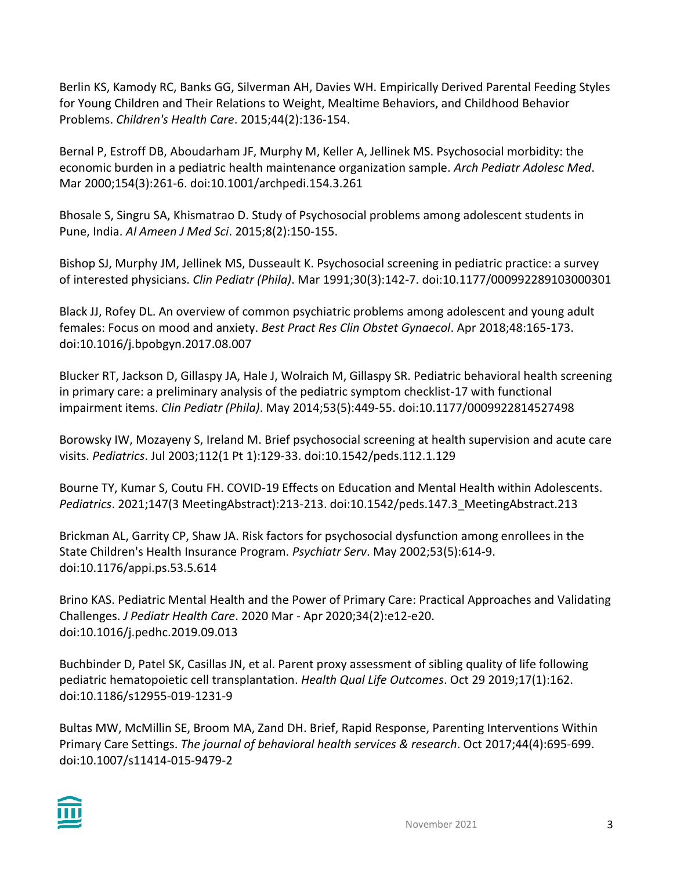Berlin KS, Kamody RC, Banks GG, Silverman AH, Davies WH. Empirically Derived Parental Feeding Styles for Young Children and Their Relations to Weight, Mealtime Behaviors, and Childhood Behavior Problems. *Children's Health Care*. 2015;44(2):136-154.

Bernal P, Estroff DB, Aboudarham JF, Murphy M, Keller A, Jellinek MS. Psychosocial morbidity: the economic burden in a pediatric health maintenance organization sample. *Arch Pediatr Adolesc Med*. Mar 2000;154(3):261-6. doi:10.1001/archpedi.154.3.261

Bhosale S, Singru SA, Khismatrao D. Study of Psychosocial problems among adolescent students in Pune, India. *Al Ameen J Med Sci*. 2015;8(2):150-155.

Bishop SJ, Murphy JM, Jellinek MS, Dusseault K. Psychosocial screening in pediatric practice: a survey of interested physicians. *Clin Pediatr (Phila)*. Mar 1991;30(3):142-7. doi:10.1177/000992289103000301

Black JJ, Rofey DL. An overview of common psychiatric problems among adolescent and young adult females: Focus on mood and anxiety. *Best Pract Res Clin Obstet Gynaecol*. Apr 2018;48:165-173. doi:10.1016/j.bpobgyn.2017.08.007

Blucker RT, Jackson D, Gillaspy JA, Hale J, Wolraich M, Gillaspy SR. Pediatric behavioral health screening in primary care: a preliminary analysis of the pediatric symptom checklist-17 with functional impairment items. *Clin Pediatr (Phila)*. May 2014;53(5):449-55. doi:10.1177/0009922814527498

Borowsky IW, Mozayeny S, Ireland M. Brief psychosocial screening at health supervision and acute care visits. *Pediatrics*. Jul 2003;112(1 Pt 1):129-33. doi:10.1542/peds.112.1.129

Bourne TY, Kumar S, Coutu FH. COVID-19 Effects on Education and Mental Health within Adolescents. *Pediatrics*. 2021;147(3 MeetingAbstract):213-213. doi:10.1542/peds.147.3\_MeetingAbstract.213

Brickman AL, Garrity CP, Shaw JA. Risk factors for psychosocial dysfunction among enrollees in the State Children's Health Insurance Program. *Psychiatr Serv*. May 2002;53(5):614-9. doi:10.1176/appi.ps.53.5.614

Brino KAS. Pediatric Mental Health and the Power of Primary Care: Practical Approaches and Validating Challenges. *J Pediatr Health Care*. 2020 Mar - Apr 2020;34(2):e12-e20. doi:10.1016/j.pedhc.2019.09.013

Buchbinder D, Patel SK, Casillas JN, et al. Parent proxy assessment of sibling quality of life following pediatric hematopoietic cell transplantation. *Health Qual Life Outcomes*. Oct 29 2019;17(1):162. doi:10.1186/s12955-019-1231-9

Bultas MW, McMillin SE, Broom MA, Zand DH. Brief, Rapid Response, Parenting Interventions Within Primary Care Settings. *The journal of behavioral health services & research*. Oct 2017;44(4):695-699. doi:10.1007/s11414-015-9479-2

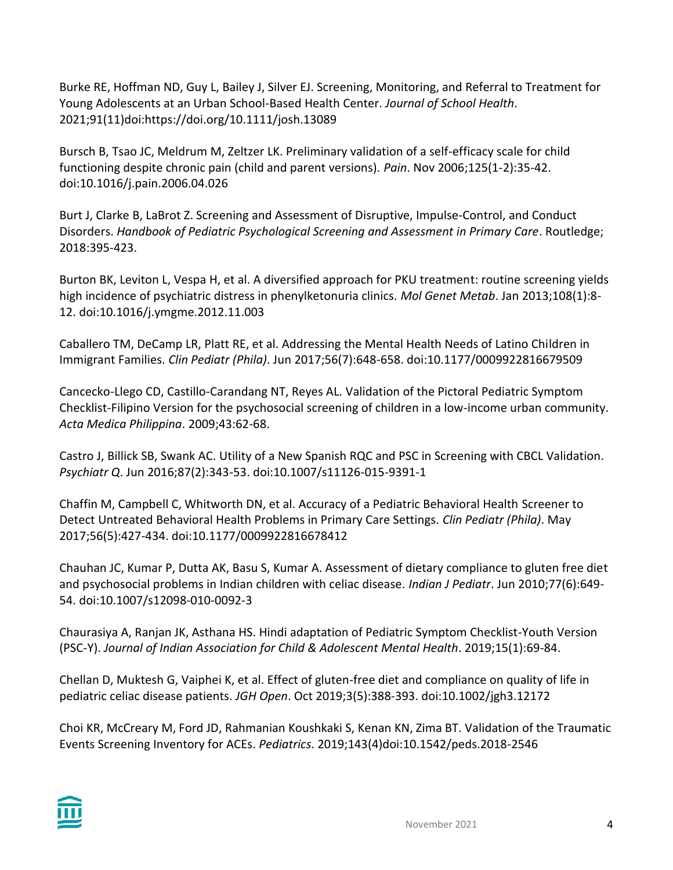Burke RE, Hoffman ND, Guy L, Bailey J, Silver EJ. Screening, Monitoring, and Referral to Treatment for Young Adolescents at an Urban School-Based Health Center. *Journal of School Health*. 2021;91(11)doi:https://doi.org/10.1111/josh.13089

Bursch B, Tsao JC, Meldrum M, Zeltzer LK. Preliminary validation of a self-efficacy scale for child functioning despite chronic pain (child and parent versions). *Pain*. Nov 2006;125(1-2):35-42. doi:10.1016/j.pain.2006.04.026

Burt J, Clarke B, LaBrot Z. Screening and Assessment of Disruptive, Impulse-Control, and Conduct Disorders. *Handbook of Pediatric Psychological Screening and Assessment in Primary Care*. Routledge; 2018:395-423.

Burton BK, Leviton L, Vespa H, et al. A diversified approach for PKU treatment: routine screening yields high incidence of psychiatric distress in phenylketonuria clinics. *Mol Genet Metab*. Jan 2013;108(1):8- 12. doi:10.1016/j.ymgme.2012.11.003

Caballero TM, DeCamp LR, Platt RE, et al. Addressing the Mental Health Needs of Latino Children in Immigrant Families. *Clin Pediatr (Phila)*. Jun 2017;56(7):648-658. doi:10.1177/0009922816679509

Cancecko-Llego CD, Castillo-Carandang NT, Reyes AL. Validation of the Pictoral Pediatric Symptom Checklist-Filipino Version for the psychosocial screening of children in a low-income urban community. *Acta Medica Philippina*. 2009;43:62-68.

Castro J, Billick SB, Swank AC. Utility of a New Spanish RQC and PSC in Screening with CBCL Validation. *Psychiatr Q*. Jun 2016;87(2):343-53. doi:10.1007/s11126-015-9391-1

Chaffin M, Campbell C, Whitworth DN, et al. Accuracy of a Pediatric Behavioral Health Screener to Detect Untreated Behavioral Health Problems in Primary Care Settings. *Clin Pediatr (Phila)*. May 2017;56(5):427-434. doi:10.1177/0009922816678412

Chauhan JC, Kumar P, Dutta AK, Basu S, Kumar A. Assessment of dietary compliance to gluten free diet and psychosocial problems in Indian children with celiac disease. *Indian J Pediatr*. Jun 2010;77(6):649- 54. doi:10.1007/s12098-010-0092-3

Chaurasiya A, Ranjan JK, Asthana HS. Hindi adaptation of Pediatric Symptom Checklist-Youth Version (PSC-Y). *Journal of Indian Association for Child & Adolescent Mental Health*. 2019;15(1):69-84.

Chellan D, Muktesh G, Vaiphei K, et al. Effect of gluten-free diet and compliance on quality of life in pediatric celiac disease patients. *JGH Open*. Oct 2019;3(5):388-393. doi:10.1002/jgh3.12172

Choi KR, McCreary M, Ford JD, Rahmanian Koushkaki S, Kenan KN, Zima BT. Validation of the Traumatic Events Screening Inventory for ACEs. *Pediatrics*. 2019;143(4)doi:10.1542/peds.2018-2546

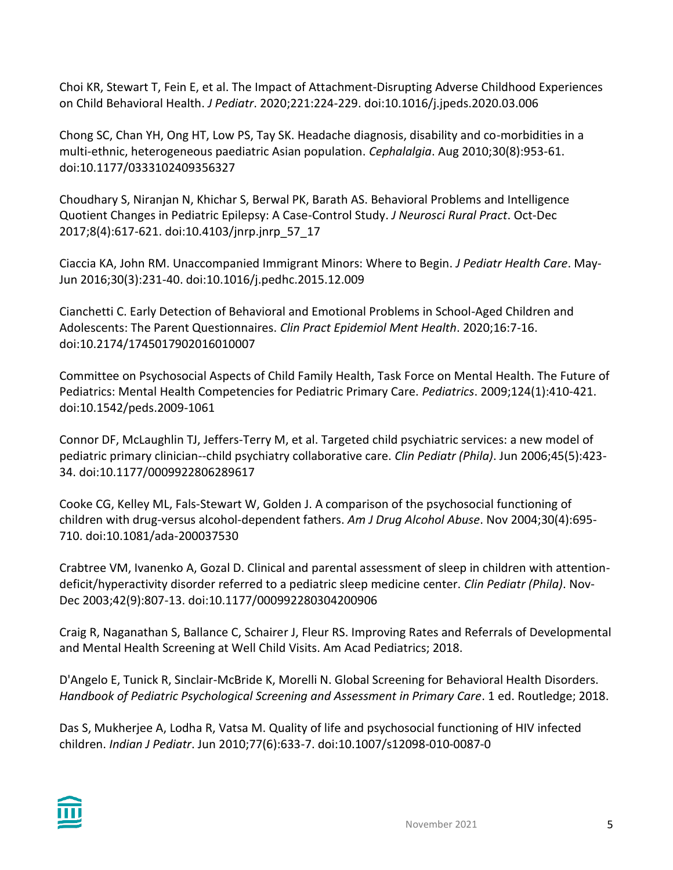Choi KR, Stewart T, Fein E, et al. The Impact of Attachment-Disrupting Adverse Childhood Experiences on Child Behavioral Health. *J Pediatr*. 2020;221:224-229. doi:10.1016/j.jpeds.2020.03.006

Chong SC, Chan YH, Ong HT, Low PS, Tay SK. Headache diagnosis, disability and co-morbidities in a multi-ethnic, heterogeneous paediatric Asian population. *Cephalalgia*. Aug 2010;30(8):953-61. doi:10.1177/0333102409356327

Choudhary S, Niranjan N, Khichar S, Berwal PK, Barath AS. Behavioral Problems and Intelligence Quotient Changes in Pediatric Epilepsy: A Case-Control Study. *J Neurosci Rural Pract*. Oct-Dec 2017;8(4):617-621. doi:10.4103/jnrp.jnrp\_57\_17

Ciaccia KA, John RM. Unaccompanied Immigrant Minors: Where to Begin. *J Pediatr Health Care*. May-Jun 2016;30(3):231-40. doi:10.1016/j.pedhc.2015.12.009

Cianchetti C. Early Detection of Behavioral and Emotional Problems in School-Aged Children and Adolescents: The Parent Questionnaires. *Clin Pract Epidemiol Ment Health*. 2020;16:7-16. doi:10.2174/1745017902016010007

Committee on Psychosocial Aspects of Child Family Health, Task Force on Mental Health. The Future of Pediatrics: Mental Health Competencies for Pediatric Primary Care. *Pediatrics*. 2009;124(1):410-421. doi:10.1542/peds.2009-1061

Connor DF, McLaughlin TJ, Jeffers-Terry M, et al. Targeted child psychiatric services: a new model of pediatric primary clinician--child psychiatry collaborative care. *Clin Pediatr (Phila)*. Jun 2006;45(5):423- 34. doi:10.1177/0009922806289617

Cooke CG, Kelley ML, Fals-Stewart W, Golden J. A comparison of the psychosocial functioning of children with drug-versus alcohol-dependent fathers. *Am J Drug Alcohol Abuse*. Nov 2004;30(4):695- 710. doi:10.1081/ada-200037530

Crabtree VM, Ivanenko A, Gozal D. Clinical and parental assessment of sleep in children with attentiondeficit/hyperactivity disorder referred to a pediatric sleep medicine center. *Clin Pediatr (Phila)*. Nov-Dec 2003;42(9):807-13. doi:10.1177/000992280304200906

Craig R, Naganathan S, Ballance C, Schairer J, Fleur RS. Improving Rates and Referrals of Developmental and Mental Health Screening at Well Child Visits. Am Acad Pediatrics; 2018.

D'Angelo E, Tunick R, Sinclair-McBride K, Morelli N. Global Screening for Behavioral Health Disorders. *Handbook of Pediatric Psychological Screening and Assessment in Primary Care*. 1 ed. Routledge; 2018.

Das S, Mukherjee A, Lodha R, Vatsa M. Quality of life and psychosocial functioning of HIV infected children. *Indian J Pediatr*. Jun 2010;77(6):633-7. doi:10.1007/s12098-010-0087-0

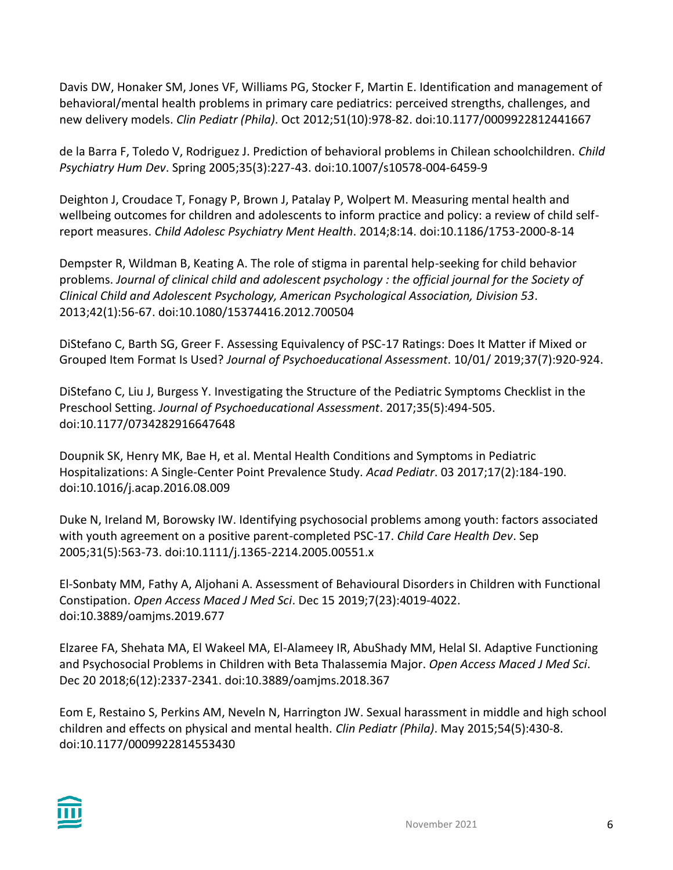Davis DW, Honaker SM, Jones VF, Williams PG, Stocker F, Martin E. Identification and management of behavioral/mental health problems in primary care pediatrics: perceived strengths, challenges, and new delivery models. *Clin Pediatr (Phila)*. Oct 2012;51(10):978-82. doi:10.1177/0009922812441667

de la Barra F, Toledo V, Rodriguez J. Prediction of behavioral problems in Chilean schoolchildren. *Child Psychiatry Hum Dev*. Spring 2005;35(3):227-43. doi:10.1007/s10578-004-6459-9

Deighton J, Croudace T, Fonagy P, Brown J, Patalay P, Wolpert M. Measuring mental health and wellbeing outcomes for children and adolescents to inform practice and policy: a review of child selfreport measures. *Child Adolesc Psychiatry Ment Health*. 2014;8:14. doi:10.1186/1753-2000-8-14

Dempster R, Wildman B, Keating A. The role of stigma in parental help-seeking for child behavior problems. *Journal of clinical child and adolescent psychology : the official journal for the Society of Clinical Child and Adolescent Psychology, American Psychological Association, Division 53*. 2013;42(1):56-67. doi:10.1080/15374416.2012.700504

DiStefano C, Barth SG, Greer F. Assessing Equivalency of PSC-17 Ratings: Does It Matter if Mixed or Grouped Item Format Is Used? *Journal of Psychoeducational Assessment*. 10/01/ 2019;37(7):920-924.

DiStefano C, Liu J, Burgess Y. Investigating the Structure of the Pediatric Symptoms Checklist in the Preschool Setting. *Journal of Psychoeducational Assessment*. 2017;35(5):494-505. doi:10.1177/0734282916647648

Doupnik SK, Henry MK, Bae H, et al. Mental Health Conditions and Symptoms in Pediatric Hospitalizations: A Single-Center Point Prevalence Study. *Acad Pediatr*. 03 2017;17(2):184-190. doi:10.1016/j.acap.2016.08.009

Duke N, Ireland M, Borowsky IW. Identifying psychosocial problems among youth: factors associated with youth agreement on a positive parent-completed PSC-17. *Child Care Health Dev*. Sep 2005;31(5):563-73. doi:10.1111/j.1365-2214.2005.00551.x

El-Sonbaty MM, Fathy A, Aljohani A. Assessment of Behavioural Disorders in Children with Functional Constipation. *Open Access Maced J Med Sci*. Dec 15 2019;7(23):4019-4022. doi:10.3889/oamjms.2019.677

Elzaree FA, Shehata MA, El Wakeel MA, El-Alameey IR, AbuShady MM, Helal SI. Adaptive Functioning and Psychosocial Problems in Children with Beta Thalassemia Major. *Open Access Maced J Med Sci*. Dec 20 2018;6(12):2337-2341. doi:10.3889/oamjms.2018.367

Eom E, Restaino S, Perkins AM, Neveln N, Harrington JW. Sexual harassment in middle and high school children and effects on physical and mental health. *Clin Pediatr (Phila)*. May 2015;54(5):430-8. doi:10.1177/0009922814553430

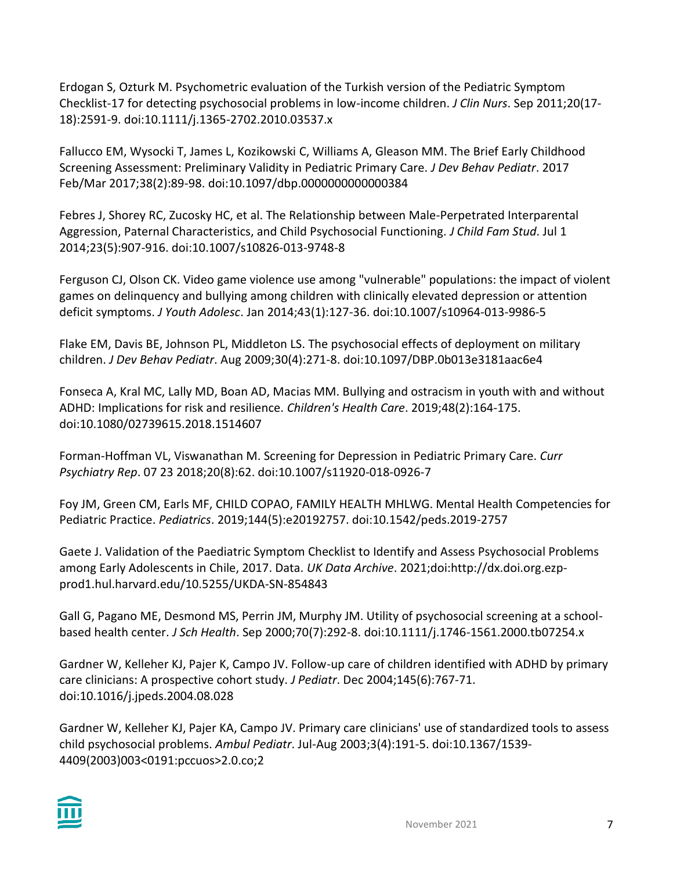Erdogan S, Ozturk M. Psychometric evaluation of the Turkish version of the Pediatric Symptom Checklist-17 for detecting psychosocial problems in low-income children. *J Clin Nurs*. Sep 2011;20(17- 18):2591-9. doi:10.1111/j.1365-2702.2010.03537.x

Fallucco EM, Wysocki T, James L, Kozikowski C, Williams A, Gleason MM. The Brief Early Childhood Screening Assessment: Preliminary Validity in Pediatric Primary Care. *J Dev Behav Pediatr*. 2017 Feb/Mar 2017;38(2):89-98. doi:10.1097/dbp.0000000000000384

Febres J, Shorey RC, Zucosky HC, et al. The Relationship between Male-Perpetrated Interparental Aggression, Paternal Characteristics, and Child Psychosocial Functioning. *J Child Fam Stud*. Jul 1 2014;23(5):907-916. doi:10.1007/s10826-013-9748-8

Ferguson CJ, Olson CK. Video game violence use among "vulnerable" populations: the impact of violent games on delinquency and bullying among children with clinically elevated depression or attention deficit symptoms. *J Youth Adolesc*. Jan 2014;43(1):127-36. doi:10.1007/s10964-013-9986-5

Flake EM, Davis BE, Johnson PL, Middleton LS. The psychosocial effects of deployment on military children. *J Dev Behav Pediatr*. Aug 2009;30(4):271-8. doi:10.1097/DBP.0b013e3181aac6e4

Fonseca A, Kral MC, Lally MD, Boan AD, Macias MM. Bullying and ostracism in youth with and without ADHD: Implications for risk and resilience. *Children's Health Care*. 2019;48(2):164-175. doi:10.1080/02739615.2018.1514607

Forman-Hoffman VL, Viswanathan M. Screening for Depression in Pediatric Primary Care. *Curr Psychiatry Rep*. 07 23 2018;20(8):62. doi:10.1007/s11920-018-0926-7

Foy JM, Green CM, Earls MF, CHILD COPAO, FAMILY HEALTH MHLWG. Mental Health Competencies for Pediatric Practice. *Pediatrics*. 2019;144(5):e20192757. doi:10.1542/peds.2019-2757

Gaete J. Validation of the Paediatric Symptom Checklist to Identify and Assess Psychosocial Problems among Early Adolescents in Chile, 2017. Data. *UK Data Archive*. 2021;doi:http://dx.doi.org.ezpprod1.hul.harvard.edu/10.5255/UKDA-SN-854843

Gall G, Pagano ME, Desmond MS, Perrin JM, Murphy JM. Utility of psychosocial screening at a schoolbased health center. *J Sch Health*. Sep 2000;70(7):292-8. doi:10.1111/j.1746-1561.2000.tb07254.x

Gardner W, Kelleher KJ, Pajer K, Campo JV. Follow-up care of children identified with ADHD by primary care clinicians: A prospective cohort study. *J Pediatr*. Dec 2004;145(6):767-71. doi:10.1016/j.jpeds.2004.08.028

Gardner W, Kelleher KJ, Pajer KA, Campo JV. Primary care clinicians' use of standardized tools to assess child psychosocial problems. *Ambul Pediatr*. Jul-Aug 2003;3(4):191-5. doi:10.1367/1539- 4409(2003)003<0191:pccuos>2.0.co;2

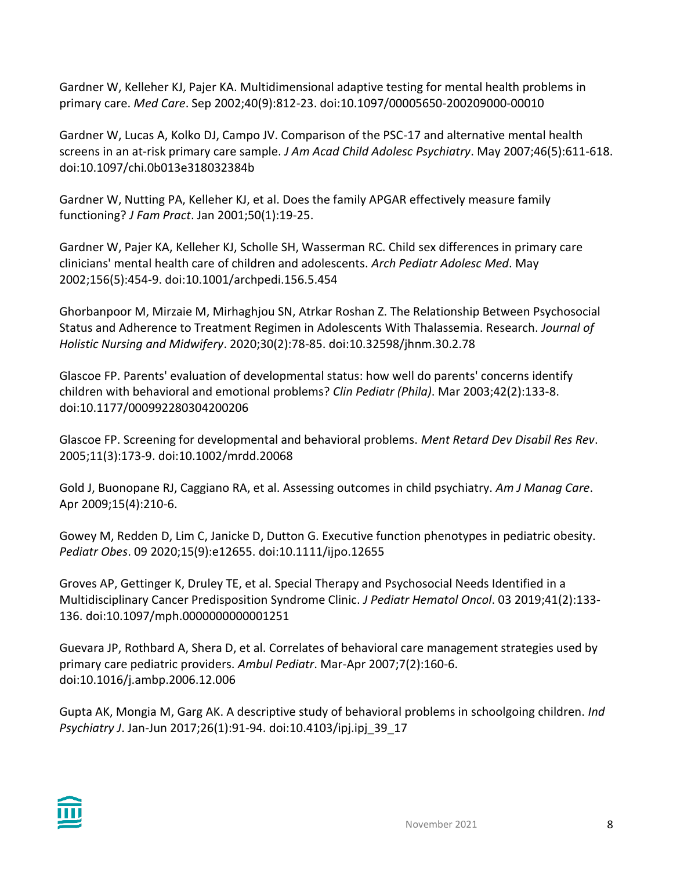Gardner W, Kelleher KJ, Pajer KA. Multidimensional adaptive testing for mental health problems in primary care. *Med Care*. Sep 2002;40(9):812-23. doi:10.1097/00005650-200209000-00010

Gardner W, Lucas A, Kolko DJ, Campo JV. Comparison of the PSC-17 and alternative mental health screens in an at-risk primary care sample. *J Am Acad Child Adolesc Psychiatry*. May 2007;46(5):611-618. doi:10.1097/chi.0b013e318032384b

Gardner W, Nutting PA, Kelleher KJ, et al. Does the family APGAR effectively measure family functioning? *J Fam Pract*. Jan 2001;50(1):19-25.

Gardner W, Pajer KA, Kelleher KJ, Scholle SH, Wasserman RC. Child sex differences in primary care clinicians' mental health care of children and adolescents. *Arch Pediatr Adolesc Med*. May 2002;156(5):454-9. doi:10.1001/archpedi.156.5.454

Ghorbanpoor M, Mirzaie M, Mirhaghjou SN, Atrkar Roshan Z. The Relationship Between Psychosocial Status and Adherence to Treatment Regimen in Adolescents With Thalassemia. Research. *Journal of Holistic Nursing and Midwifery*. 2020;30(2):78-85. doi:10.32598/jhnm.30.2.78

Glascoe FP. Parents' evaluation of developmental status: how well do parents' concerns identify children with behavioral and emotional problems? *Clin Pediatr (Phila)*. Mar 2003;42(2):133-8. doi:10.1177/000992280304200206

Glascoe FP. Screening for developmental and behavioral problems. *Ment Retard Dev Disabil Res Rev*. 2005;11(3):173-9. doi:10.1002/mrdd.20068

Gold J, Buonopane RJ, Caggiano RA, et al. Assessing outcomes in child psychiatry. *Am J Manag Care*. Apr 2009;15(4):210-6.

Gowey M, Redden D, Lim C, Janicke D, Dutton G. Executive function phenotypes in pediatric obesity. *Pediatr Obes*. 09 2020;15(9):e12655. doi:10.1111/ijpo.12655

Groves AP, Gettinger K, Druley TE, et al. Special Therapy and Psychosocial Needs Identified in a Multidisciplinary Cancer Predisposition Syndrome Clinic. *J Pediatr Hematol Oncol*. 03 2019;41(2):133- 136. doi:10.1097/mph.0000000000001251

Guevara JP, Rothbard A, Shera D, et al. Correlates of behavioral care management strategies used by primary care pediatric providers. *Ambul Pediatr*. Mar-Apr 2007;7(2):160-6. doi:10.1016/j.ambp.2006.12.006

Gupta AK, Mongia M, Garg AK. A descriptive study of behavioral problems in schoolgoing children. *Ind Psychiatry J*. Jan-Jun 2017;26(1):91-94. doi:10.4103/ipj.ipj\_39\_17

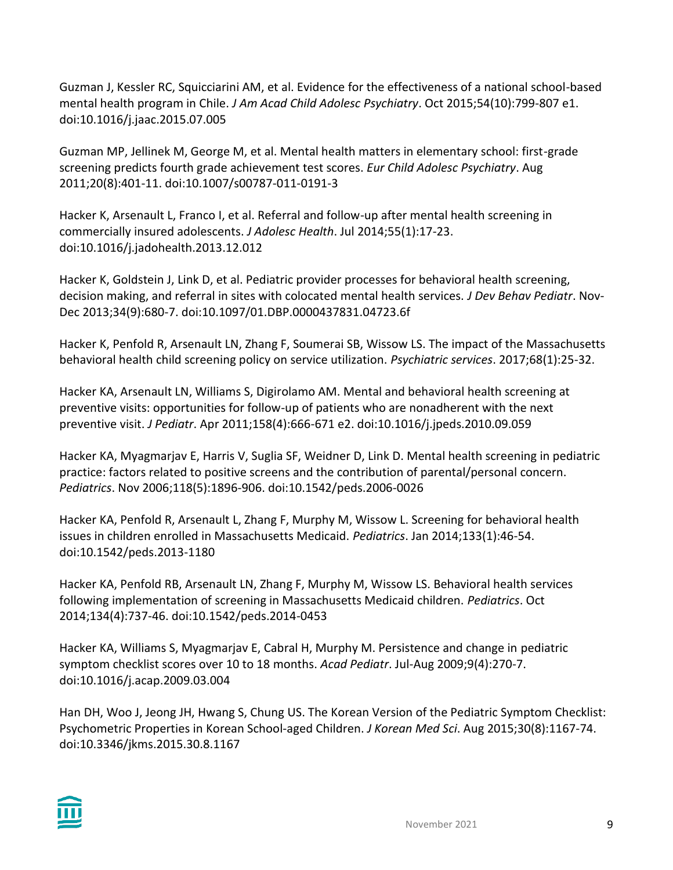Guzman J, Kessler RC, Squicciarini AM, et al. Evidence for the effectiveness of a national school-based mental health program in Chile. *J Am Acad Child Adolesc Psychiatry*. Oct 2015;54(10):799-807 e1. doi:10.1016/j.jaac.2015.07.005

Guzman MP, Jellinek M, George M, et al. Mental health matters in elementary school: first-grade screening predicts fourth grade achievement test scores. *Eur Child Adolesc Psychiatry*. Aug 2011;20(8):401-11. doi:10.1007/s00787-011-0191-3

Hacker K, Arsenault L, Franco I, et al. Referral and follow-up after mental health screening in commercially insured adolescents. *J Adolesc Health*. Jul 2014;55(1):17-23. doi:10.1016/j.jadohealth.2013.12.012

Hacker K, Goldstein J, Link D, et al. Pediatric provider processes for behavioral health screening, decision making, and referral in sites with colocated mental health services. *J Dev Behav Pediatr*. Nov-Dec 2013;34(9):680-7. doi:10.1097/01.DBP.0000437831.04723.6f

Hacker K, Penfold R, Arsenault LN, Zhang F, Soumerai SB, Wissow LS. The impact of the Massachusetts behavioral health child screening policy on service utilization. *Psychiatric services*. 2017;68(1):25-32.

Hacker KA, Arsenault LN, Williams S, Digirolamo AM. Mental and behavioral health screening at preventive visits: opportunities for follow-up of patients who are nonadherent with the next preventive visit. *J Pediatr*. Apr 2011;158(4):666-671 e2. doi:10.1016/j.jpeds.2010.09.059

Hacker KA, Myagmarjav E, Harris V, Suglia SF, Weidner D, Link D. Mental health screening in pediatric practice: factors related to positive screens and the contribution of parental/personal concern. *Pediatrics*. Nov 2006;118(5):1896-906. doi:10.1542/peds.2006-0026

Hacker KA, Penfold R, Arsenault L, Zhang F, Murphy M, Wissow L. Screening for behavioral health issues in children enrolled in Massachusetts Medicaid. *Pediatrics*. Jan 2014;133(1):46-54. doi:10.1542/peds.2013-1180

Hacker KA, Penfold RB, Arsenault LN, Zhang F, Murphy M, Wissow LS. Behavioral health services following implementation of screening in Massachusetts Medicaid children. *Pediatrics*. Oct 2014;134(4):737-46. doi:10.1542/peds.2014-0453

Hacker KA, Williams S, Myagmarjav E, Cabral H, Murphy M. Persistence and change in pediatric symptom checklist scores over 10 to 18 months. *Acad Pediatr*. Jul-Aug 2009;9(4):270-7. doi:10.1016/j.acap.2009.03.004

Han DH, Woo J, Jeong JH, Hwang S, Chung US. The Korean Version of the Pediatric Symptom Checklist: Psychometric Properties in Korean School-aged Children. *J Korean Med Sci*. Aug 2015;30(8):1167-74. doi:10.3346/jkms.2015.30.8.1167

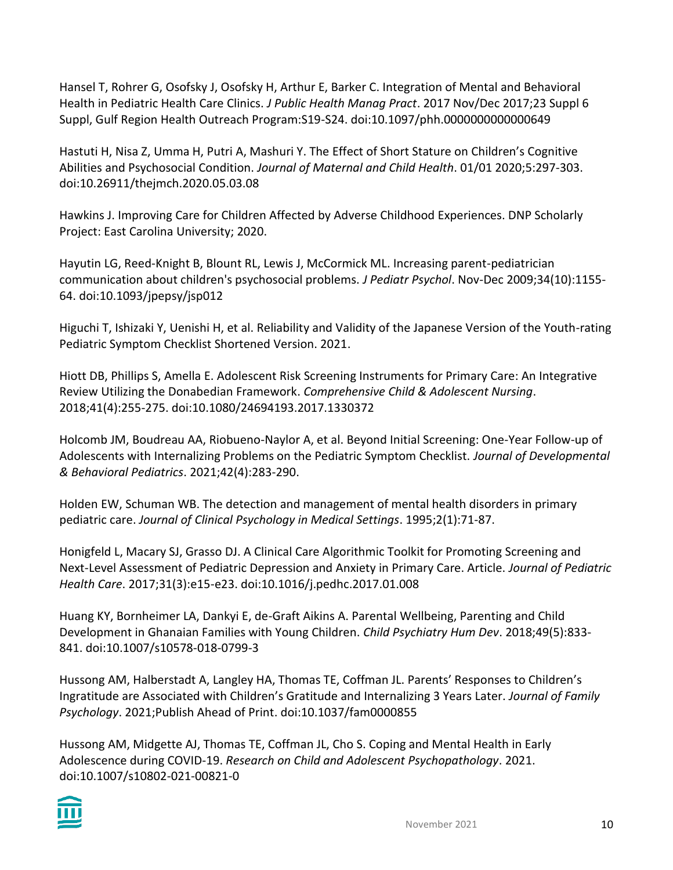Hansel T, Rohrer G, Osofsky J, Osofsky H, Arthur E, Barker C. Integration of Mental and Behavioral Health in Pediatric Health Care Clinics. *J Public Health Manag Pract*. 2017 Nov/Dec 2017;23 Suppl 6 Suppl, Gulf Region Health Outreach Program:S19-S24. doi:10.1097/phh.0000000000000649

Hastuti H, Nisa Z, Umma H, Putri A, Mashuri Y. The Effect of Short Stature on Children's Cognitive Abilities and Psychosocial Condition. *Journal of Maternal and Child Health*. 01/01 2020;5:297-303. doi:10.26911/thejmch.2020.05.03.08

Hawkins J. Improving Care for Children Affected by Adverse Childhood Experiences. DNP Scholarly Project: East Carolina University; 2020.

Hayutin LG, Reed-Knight B, Blount RL, Lewis J, McCormick ML. Increasing parent-pediatrician communication about children's psychosocial problems. *J Pediatr Psychol*. Nov-Dec 2009;34(10):1155- 64. doi:10.1093/jpepsy/jsp012

Higuchi T, Ishizaki Y, Uenishi H, et al. Reliability and Validity of the Japanese Version of the Youth-rating Pediatric Symptom Checklist Shortened Version. 2021.

Hiott DB, Phillips S, Amella E. Adolescent Risk Screening Instruments for Primary Care: An Integrative Review Utilizing the Donabedian Framework. *Comprehensive Child & Adolescent Nursing*. 2018;41(4):255-275. doi:10.1080/24694193.2017.1330372

Holcomb JM, Boudreau AA, Riobueno-Naylor A, et al. Beyond Initial Screening: One-Year Follow-up of Adolescents with Internalizing Problems on the Pediatric Symptom Checklist. *Journal of Developmental & Behavioral Pediatrics*. 2021;42(4):283-290.

Holden EW, Schuman WB. The detection and management of mental health disorders in primary pediatric care. *Journal of Clinical Psychology in Medical Settings*. 1995;2(1):71-87.

Honigfeld L, Macary SJ, Grasso DJ. A Clinical Care Algorithmic Toolkit for Promoting Screening and Next-Level Assessment of Pediatric Depression and Anxiety in Primary Care. Article. *Journal of Pediatric Health Care*. 2017;31(3):e15-e23. doi:10.1016/j.pedhc.2017.01.008

Huang KY, Bornheimer LA, Dankyi E, de-Graft Aikins A. Parental Wellbeing, Parenting and Child Development in Ghanaian Families with Young Children. *Child Psychiatry Hum Dev*. 2018;49(5):833- 841. doi:10.1007/s10578-018-0799-3

Hussong AM, Halberstadt A, Langley HA, Thomas TE, Coffman JL. Parents' Responses to Children's Ingratitude are Associated with Children's Gratitude and Internalizing 3 Years Later. *Journal of Family Psychology*. 2021;Publish Ahead of Print. doi:10.1037/fam0000855

Hussong AM, Midgette AJ, Thomas TE, Coffman JL, Cho S. Coping and Mental Health in Early Adolescence during COVID-19. *Research on Child and Adolescent Psychopathology*. 2021. doi:10.1007/s10802-021-00821-0

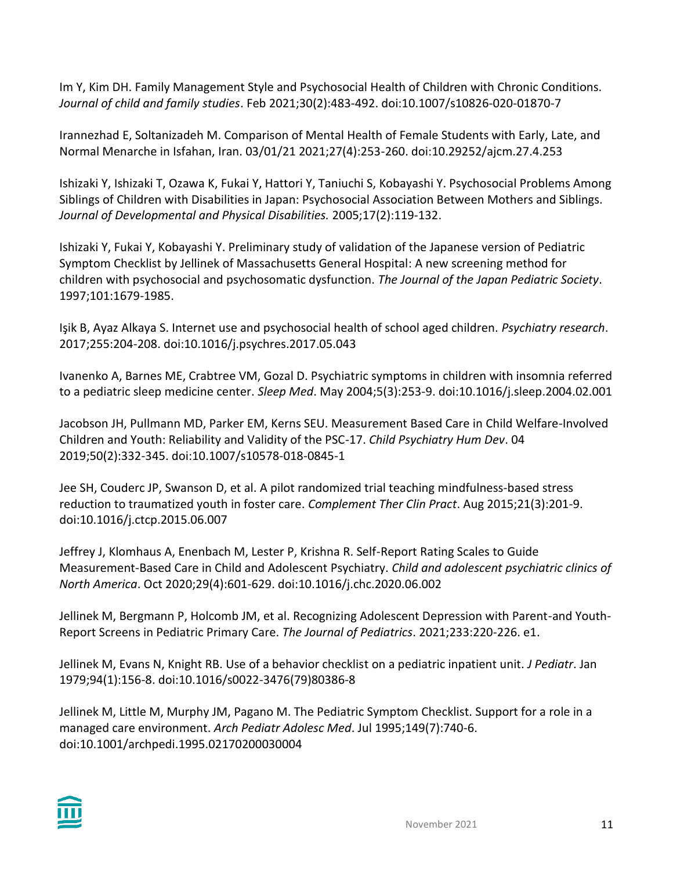Im Y, Kim DH. Family Management Style and Psychosocial Health of Children with Chronic Conditions. *Journal of child and family studies*. Feb 2021;30(2):483-492. doi:10.1007/s10826-020-01870-7

Irannezhad E, Soltanizadeh M. Comparison of Mental Health of Female Students with Early, Late, and Normal Menarche in Isfahan, Iran. 03/01/21 2021;27(4):253-260. doi:10.29252/ajcm.27.4.253

Ishizaki Y, Ishizaki T, Ozawa K, Fukai Y, Hattori Y, Taniuchi S, Kobayashi Y. Psychosocial Problems Among Siblings of Children with Disabilities in Japan: Psychosocial Association Between Mothers and Siblings. *Journal of Developmental and Physical Disabilities.* 2005;17(2):119-132.

Ishizaki Y, Fukai Y, Kobayashi Y. Preliminary study of validation of the Japanese version of Pediatric Symptom Checklist by Jellinek of Massachusetts General Hospital: A new screening method for children with psychosocial and psychosomatic dysfunction. *The Journal of the Japan Pediatric Society*. 1997;101:1679-1985.

Işik B, Ayaz Alkaya S. Internet use and psychosocial health of school aged children. *Psychiatry research*. 2017;255:204-208. doi:10.1016/j.psychres.2017.05.043

Ivanenko A, Barnes ME, Crabtree VM, Gozal D. Psychiatric symptoms in children with insomnia referred to a pediatric sleep medicine center. *Sleep Med*. May 2004;5(3):253-9. doi:10.1016/j.sleep.2004.02.001

Jacobson JH, Pullmann MD, Parker EM, Kerns SEU. Measurement Based Care in Child Welfare-Involved Children and Youth: Reliability and Validity of the PSC-17. *Child Psychiatry Hum Dev*. 04 2019;50(2):332-345. doi:10.1007/s10578-018-0845-1

Jee SH, Couderc JP, Swanson D, et al. A pilot randomized trial teaching mindfulness-based stress reduction to traumatized youth in foster care. *Complement Ther Clin Pract*. Aug 2015;21(3):201-9. doi:10.1016/j.ctcp.2015.06.007

Jeffrey J, Klomhaus A, Enenbach M, Lester P, Krishna R. Self-Report Rating Scales to Guide Measurement-Based Care in Child and Adolescent Psychiatry. *Child and adolescent psychiatric clinics of North America*. Oct 2020;29(4):601-629. doi:10.1016/j.chc.2020.06.002

Jellinek M, Bergmann P, Holcomb JM, et al. Recognizing Adolescent Depression with Parent-and Youth-Report Screens in Pediatric Primary Care. *The Journal of Pediatrics*. 2021;233:220-226. e1.

Jellinek M, Evans N, Knight RB. Use of a behavior checklist on a pediatric inpatient unit. *J Pediatr*. Jan 1979;94(1):156-8. doi:10.1016/s0022-3476(79)80386-8

Jellinek M, Little M, Murphy JM, Pagano M. The Pediatric Symptom Checklist. Support for a role in a managed care environment. *Arch Pediatr Adolesc Med*. Jul 1995;149(7):740-6. doi:10.1001/archpedi.1995.02170200030004

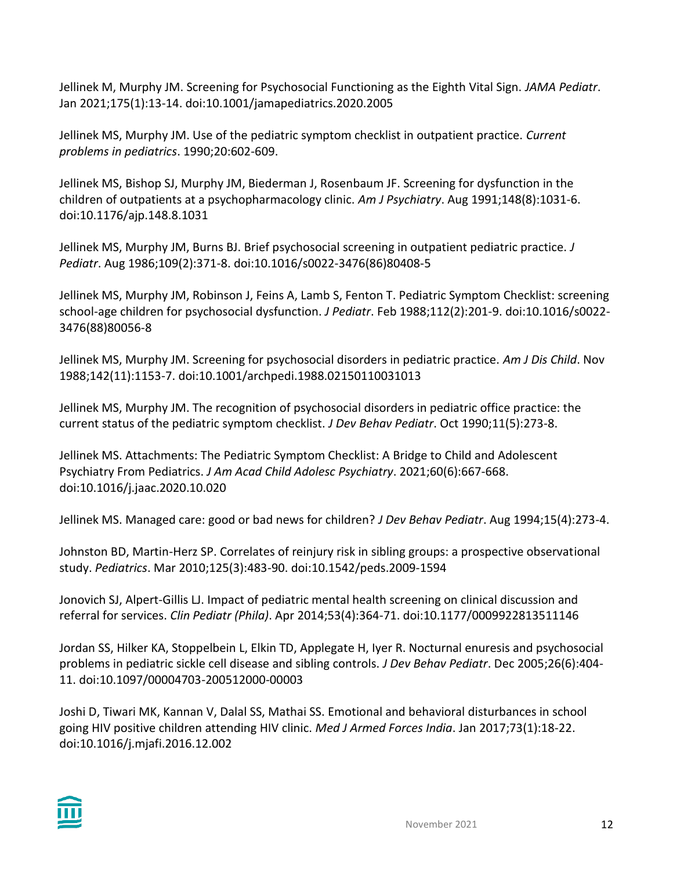Jellinek M, Murphy JM. Screening for Psychosocial Functioning as the Eighth Vital Sign. *JAMA Pediatr*. Jan 2021;175(1):13-14. doi:10.1001/jamapediatrics.2020.2005

Jellinek MS, Murphy JM. Use of the pediatric symptom checklist in outpatient practice. *Current problems in pediatrics*. 1990;20:602-609.

Jellinek MS, Bishop SJ, Murphy JM, Biederman J, Rosenbaum JF. Screening for dysfunction in the children of outpatients at a psychopharmacology clinic. *Am J Psychiatry*. Aug 1991;148(8):1031-6. doi:10.1176/ajp.148.8.1031

Jellinek MS, Murphy JM, Burns BJ. Brief psychosocial screening in outpatient pediatric practice. *J Pediatr*. Aug 1986;109(2):371-8. doi:10.1016/s0022-3476(86)80408-5

Jellinek MS, Murphy JM, Robinson J, Feins A, Lamb S, Fenton T. Pediatric Symptom Checklist: screening school-age children for psychosocial dysfunction. *J Pediatr*. Feb 1988;112(2):201-9. doi:10.1016/s0022- 3476(88)80056-8

Jellinek MS, Murphy JM. Screening for psychosocial disorders in pediatric practice. *Am J Dis Child*. Nov 1988;142(11):1153-7. doi:10.1001/archpedi.1988.02150110031013

Jellinek MS, Murphy JM. The recognition of psychosocial disorders in pediatric office practice: the current status of the pediatric symptom checklist. *J Dev Behav Pediatr*. Oct 1990;11(5):273-8.

Jellinek MS. Attachments: The Pediatric Symptom Checklist: A Bridge to Child and Adolescent Psychiatry From Pediatrics. *J Am Acad Child Adolesc Psychiatry*. 2021;60(6):667-668. doi:10.1016/j.jaac.2020.10.020

Jellinek MS. Managed care: good or bad news for children? *J Dev Behav Pediatr*. Aug 1994;15(4):273-4.

Johnston BD, Martin-Herz SP. Correlates of reinjury risk in sibling groups: a prospective observational study. *Pediatrics*. Mar 2010;125(3):483-90. doi:10.1542/peds.2009-1594

Jonovich SJ, Alpert-Gillis LJ. Impact of pediatric mental health screening on clinical discussion and referral for services. *Clin Pediatr (Phila)*. Apr 2014;53(4):364-71. doi:10.1177/0009922813511146

Jordan SS, Hilker KA, Stoppelbein L, Elkin TD, Applegate H, Iyer R. Nocturnal enuresis and psychosocial problems in pediatric sickle cell disease and sibling controls. *J Dev Behav Pediatr*. Dec 2005;26(6):404- 11. doi:10.1097/00004703-200512000-00003

Joshi D, Tiwari MK, Kannan V, Dalal SS, Mathai SS. Emotional and behavioral disturbances in school going HIV positive children attending HIV clinic. *Med J Armed Forces India*. Jan 2017;73(1):18-22. doi:10.1016/j.mjafi.2016.12.002

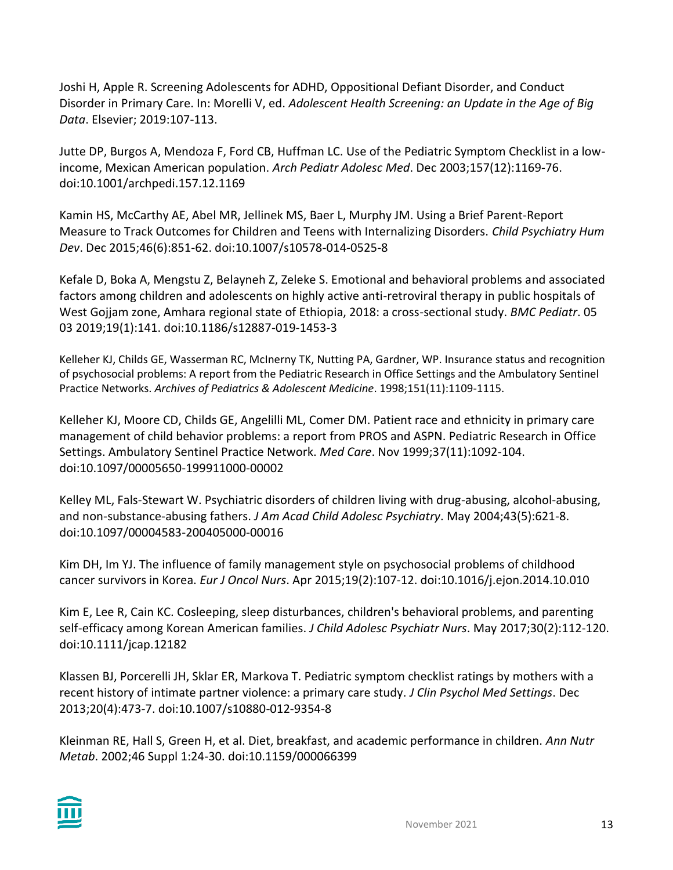Joshi H, Apple R. Screening Adolescents for ADHD, Oppositional Defiant Disorder, and Conduct Disorder in Primary Care. In: Morelli V, ed. *Adolescent Health Screening: an Update in the Age of Big Data*. Elsevier; 2019:107-113.

Jutte DP, Burgos A, Mendoza F, Ford CB, Huffman LC. Use of the Pediatric Symptom Checklist in a lowincome, Mexican American population. *Arch Pediatr Adolesc Med*. Dec 2003;157(12):1169-76. doi:10.1001/archpedi.157.12.1169

Kamin HS, McCarthy AE, Abel MR, Jellinek MS, Baer L, Murphy JM. Using a Brief Parent-Report Measure to Track Outcomes for Children and Teens with Internalizing Disorders. *Child Psychiatry Hum Dev*. Dec 2015;46(6):851-62. doi:10.1007/s10578-014-0525-8

Kefale D, Boka A, Mengstu Z, Belayneh Z, Zeleke S. Emotional and behavioral problems and associated factors among children and adolescents on highly active anti-retroviral therapy in public hospitals of West Gojjam zone, Amhara regional state of Ethiopia, 2018: a cross-sectional study. *BMC Pediatr*. 05 03 2019;19(1):141. doi:10.1186/s12887-019-1453-3

Kelleher KJ, Childs GE, Wasserman RC, McInerny TK, Nutting PA, Gardner, WP. Insurance status and recognition of psychosocial problems: A report from the Pediatric Research in Office Settings and the Ambulatory Sentinel Practice Networks. *Archives of Pediatrics & Adolescent Medicine*. 1998;151(11):1109-1115.

Kelleher KJ, Moore CD, Childs GE, Angelilli ML, Comer DM. Patient race and ethnicity in primary care management of child behavior problems: a report from PROS and ASPN. Pediatric Research in Office Settings. Ambulatory Sentinel Practice Network. *Med Care*. Nov 1999;37(11):1092-104. doi:10.1097/00005650-199911000-00002

Kelley ML, Fals-Stewart W. Psychiatric disorders of children living with drug-abusing, alcohol-abusing, and non-substance-abusing fathers. *J Am Acad Child Adolesc Psychiatry*. May 2004;43(5):621-8. doi:10.1097/00004583-200405000-00016

Kim DH, Im YJ. The influence of family management style on psychosocial problems of childhood cancer survivors in Korea. *Eur J Oncol Nurs*. Apr 2015;19(2):107-12. doi:10.1016/j.ejon.2014.10.010

Kim E, Lee R, Cain KC. Cosleeping, sleep disturbances, children's behavioral problems, and parenting self-efficacy among Korean American families. *J Child Adolesc Psychiatr Nurs*. May 2017;30(2):112-120. doi:10.1111/jcap.12182

Klassen BJ, Porcerelli JH, Sklar ER, Markova T. Pediatric symptom checklist ratings by mothers with a recent history of intimate partner violence: a primary care study. *J Clin Psychol Med Settings*. Dec 2013;20(4):473-7. doi:10.1007/s10880-012-9354-8

Kleinman RE, Hall S, Green H, et al. Diet, breakfast, and academic performance in children. *Ann Nutr Metab*. 2002;46 Suppl 1:24-30. doi:10.1159/000066399

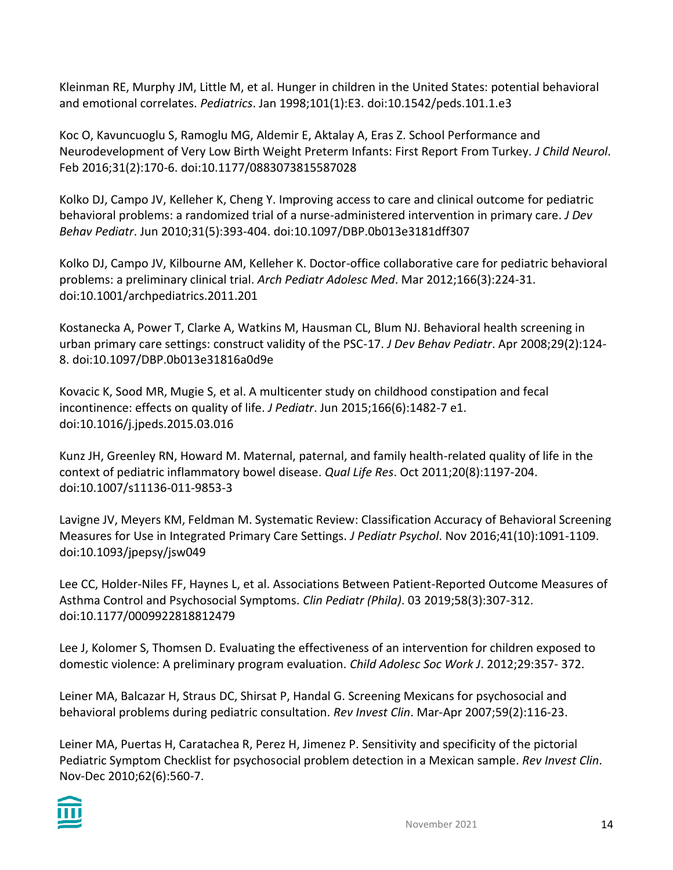Kleinman RE, Murphy JM, Little M, et al. Hunger in children in the United States: potential behavioral and emotional correlates. *Pediatrics*. Jan 1998;101(1):E3. doi:10.1542/peds.101.1.e3

Koc O, Kavuncuoglu S, Ramoglu MG, Aldemir E, Aktalay A, Eras Z. School Performance and Neurodevelopment of Very Low Birth Weight Preterm Infants: First Report From Turkey. *J Child Neurol*. Feb 2016;31(2):170-6. doi:10.1177/0883073815587028

Kolko DJ, Campo JV, Kelleher K, Cheng Y. Improving access to care and clinical outcome for pediatric behavioral problems: a randomized trial of a nurse-administered intervention in primary care. *J Dev Behav Pediatr*. Jun 2010;31(5):393-404. doi:10.1097/DBP.0b013e3181dff307

Kolko DJ, Campo JV, Kilbourne AM, Kelleher K. Doctor-office collaborative care for pediatric behavioral problems: a preliminary clinical trial. *Arch Pediatr Adolesc Med*. Mar 2012;166(3):224-31. doi:10.1001/archpediatrics.2011.201

Kostanecka A, Power T, Clarke A, Watkins M, Hausman CL, Blum NJ. Behavioral health screening in urban primary care settings: construct validity of the PSC-17. *J Dev Behav Pediatr*. Apr 2008;29(2):124- 8. doi:10.1097/DBP.0b013e31816a0d9e

Kovacic K, Sood MR, Mugie S, et al. A multicenter study on childhood constipation and fecal incontinence: effects on quality of life. *J Pediatr*. Jun 2015;166(6):1482-7 e1. doi:10.1016/j.jpeds.2015.03.016

Kunz JH, Greenley RN, Howard M. Maternal, paternal, and family health-related quality of life in the context of pediatric inflammatory bowel disease. *Qual Life Res*. Oct 2011;20(8):1197-204. doi:10.1007/s11136-011-9853-3

Lavigne JV, Meyers KM, Feldman M. Systematic Review: Classification Accuracy of Behavioral Screening Measures for Use in Integrated Primary Care Settings. *J Pediatr Psychol*. Nov 2016;41(10):1091-1109. doi:10.1093/jpepsy/jsw049

Lee CC, Holder-Niles FF, Haynes L, et al. Associations Between Patient-Reported Outcome Measures of Asthma Control and Psychosocial Symptoms. *Clin Pediatr (Phila)*. 03 2019;58(3):307-312. doi:10.1177/0009922818812479

Lee J, Kolomer S, Thomsen D. Evaluating the effectiveness of an intervention for children exposed to domestic violence: A preliminary program evaluation. *Child Adolesc Soc Work J*. 2012;29:357- 372.

Leiner MA, Balcazar H, Straus DC, Shirsat P, Handal G. Screening Mexicans for psychosocial and behavioral problems during pediatric consultation. *Rev Invest Clin*. Mar-Apr 2007;59(2):116-23.

Leiner MA, Puertas H, Caratachea R, Perez H, Jimenez P. Sensitivity and specificity of the pictorial Pediatric Symptom Checklist for psychosocial problem detection in a Mexican sample. *Rev Invest Clin*. Nov-Dec 2010;62(6):560-7.

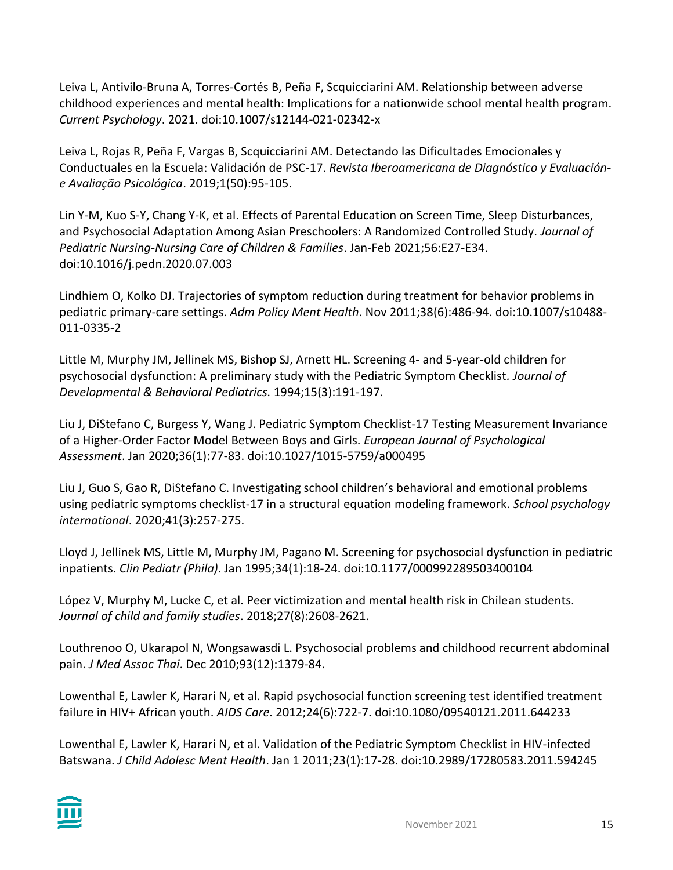Leiva L, Antivilo-Bruna A, Torres-Cortés B, Peña F, Scquicciarini AM. Relationship between adverse childhood experiences and mental health: Implications for a nationwide school mental health program. *Current Psychology*. 2021. doi:10.1007/s12144-021-02342-x

Leiva L, Rojas R, Peña F, Vargas B, Scquicciarini AM. Detectando las Dificultades Emocionales y Conductuales en la Escuela: Validación de PSC-17. *Revista Iberoamericana de Diagnóstico y Evaluacióne Avaliação Psicológica*. 2019;1(50):95-105.

Lin Y-M, Kuo S-Y, Chang Y-K, et al. Effects of Parental Education on Screen Time, Sleep Disturbances, and Psychosocial Adaptation Among Asian Preschoolers: A Randomized Controlled Study. *Journal of Pediatric Nursing-Nursing Care of Children & Families*. Jan-Feb 2021;56:E27-E34. doi:10.1016/j.pedn.2020.07.003

Lindhiem O, Kolko DJ. Trajectories of symptom reduction during treatment for behavior problems in pediatric primary-care settings. *Adm Policy Ment Health*. Nov 2011;38(6):486-94. doi:10.1007/s10488- 011-0335-2

Little M, Murphy JM, Jellinek MS, Bishop SJ, Arnett HL. Screening 4- and 5-year-old children for psychosocial dysfunction: A preliminary study with the Pediatric Symptom Checklist*. Journal of Developmental & Behavioral Pediatrics.* 1994;15(3):191-197.

Liu J, DiStefano C, Burgess Y, Wang J. Pediatric Symptom Checklist-17 Testing Measurement Invariance of a Higher-Order Factor Model Between Boys and Girls. *European Journal of Psychological Assessment*. Jan 2020;36(1):77-83. doi:10.1027/1015-5759/a000495

Liu J, Guo S, Gao R, DiStefano C. Investigating school children's behavioral and emotional problems using pediatric symptoms checklist-17 in a structural equation modeling framework. *School psychology international*. 2020;41(3):257-275.

Lloyd J, Jellinek MS, Little M, Murphy JM, Pagano M. Screening for psychosocial dysfunction in pediatric inpatients. *Clin Pediatr (Phila)*. Jan 1995;34(1):18-24. doi:10.1177/000992289503400104

López V, Murphy M, Lucke C, et al. Peer victimization and mental health risk in Chilean students. *Journal of child and family studies*. 2018;27(8):2608-2621.

Louthrenoo O, Ukarapol N, Wongsawasdi L. Psychosocial problems and childhood recurrent abdominal pain. *J Med Assoc Thai*. Dec 2010;93(12):1379-84.

Lowenthal E, Lawler K, Harari N, et al. Rapid psychosocial function screening test identified treatment failure in HIV+ African youth. *AIDS Care*. 2012;24(6):722-7. doi:10.1080/09540121.2011.644233

Lowenthal E, Lawler K, Harari N, et al. Validation of the Pediatric Symptom Checklist in HIV-infected Batswana. *J Child Adolesc Ment Health*. Jan 1 2011;23(1):17-28. doi:10.2989/17280583.2011.594245

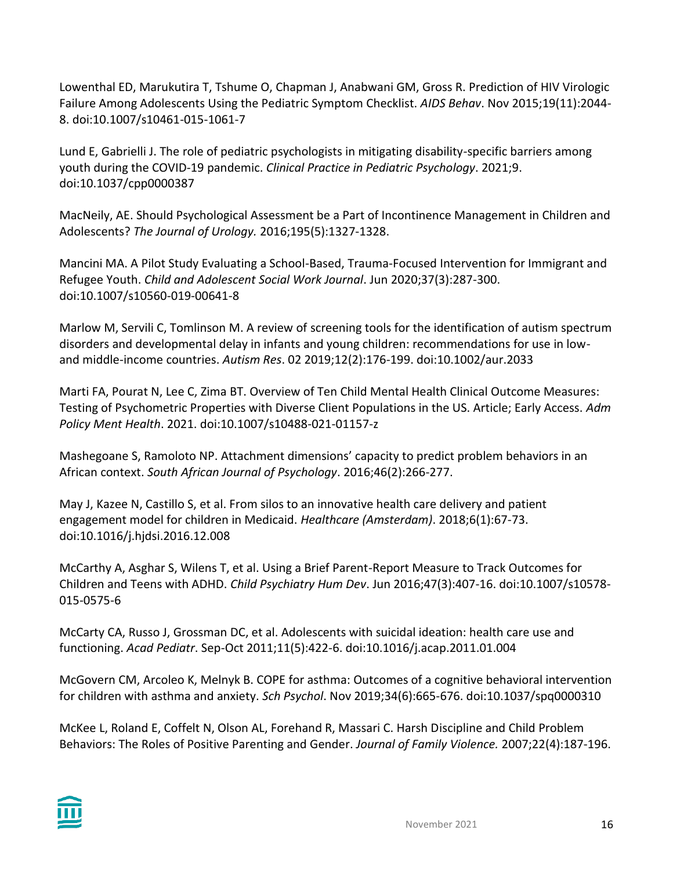Lowenthal ED, Marukutira T, Tshume O, Chapman J, Anabwani GM, Gross R. Prediction of HIV Virologic Failure Among Adolescents Using the Pediatric Symptom Checklist. *AIDS Behav*. Nov 2015;19(11):2044- 8. doi:10.1007/s10461-015-1061-7

Lund E, Gabrielli J. The role of pediatric psychologists in mitigating disability-specific barriers among youth during the COVID-19 pandemic. *Clinical Practice in Pediatric Psychology*. 2021;9. doi:10.1037/cpp0000387

MacNeily, AE. Should Psychological Assessment be a Part of Incontinence Management in Children and Adolescents? *The Journal of Urology.* 2016;195(5):1327-1328.

Mancini MA. A Pilot Study Evaluating a School-Based, Trauma-Focused Intervention for Immigrant and Refugee Youth. *Child and Adolescent Social Work Journal*. Jun 2020;37(3):287-300. doi:10.1007/s10560-019-00641-8

Marlow M, Servili C, Tomlinson M. A review of screening tools for the identification of autism spectrum disorders and developmental delay in infants and young children: recommendations for use in lowand middle-income countries. *Autism Res*. 02 2019;12(2):176-199. doi:10.1002/aur.2033

Marti FA, Pourat N, Lee C, Zima BT. Overview of Ten Child Mental Health Clinical Outcome Measures: Testing of Psychometric Properties with Diverse Client Populations in the US. Article; Early Access. *Adm Policy Ment Health*. 2021. doi:10.1007/s10488-021-01157-z

Mashegoane S, Ramoloto NP. Attachment dimensions' capacity to predict problem behaviors in an African context. *South African Journal of Psychology*. 2016;46(2):266-277.

May J, Kazee N, Castillo S, et al. From silos to an innovative health care delivery and patient engagement model for children in Medicaid. *Healthcare (Amsterdam)*. 2018;6(1):67-73. doi:10.1016/j.hjdsi.2016.12.008

McCarthy A, Asghar S, Wilens T, et al. Using a Brief Parent-Report Measure to Track Outcomes for Children and Teens with ADHD. *Child Psychiatry Hum Dev*. Jun 2016;47(3):407-16. doi:10.1007/s10578- 015-0575-6

McCarty CA, Russo J, Grossman DC, et al. Adolescents with suicidal ideation: health care use and functioning. *Acad Pediatr*. Sep-Oct 2011;11(5):422-6. doi:10.1016/j.acap.2011.01.004

McGovern CM, Arcoleo K, Melnyk B. COPE for asthma: Outcomes of a cognitive behavioral intervention for children with asthma and anxiety. *Sch Psychol*. Nov 2019;34(6):665-676. doi:10.1037/spq0000310

McKee L, Roland E, Coffelt N, Olson AL, Forehand R, Massari C. Harsh Discipline and Child Problem Behaviors: The Roles of Positive Parenting and Gender. *Journal of Family Violence.* 2007;22(4):187-196.

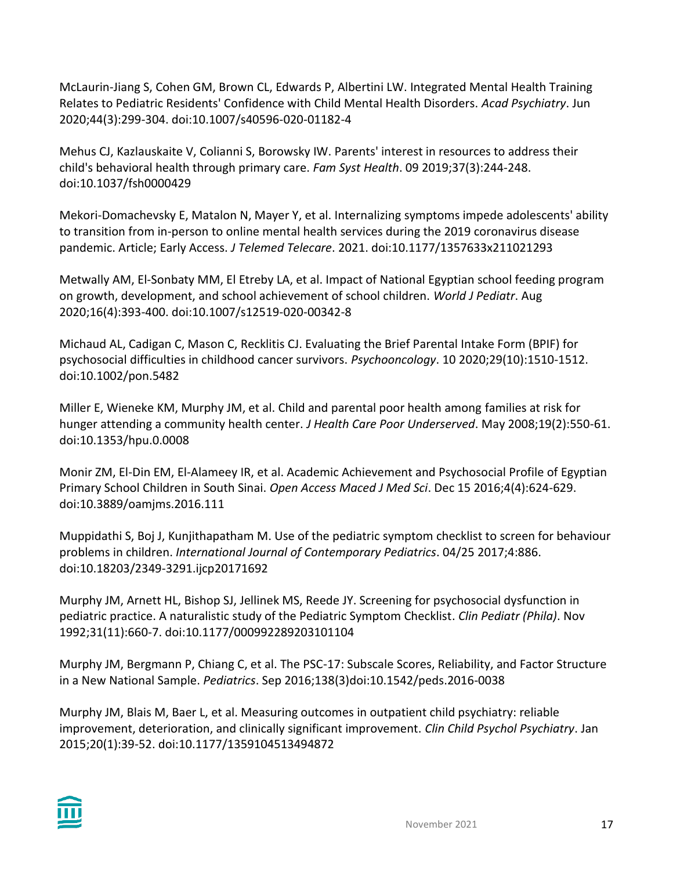McLaurin-Jiang S, Cohen GM, Brown CL, Edwards P, Albertini LW. Integrated Mental Health Training Relates to Pediatric Residents' Confidence with Child Mental Health Disorders. *Acad Psychiatry*. Jun 2020;44(3):299-304. doi:10.1007/s40596-020-01182-4

Mehus CJ, Kazlauskaite V, Colianni S, Borowsky IW. Parents' interest in resources to address their child's behavioral health through primary care. *Fam Syst Health*. 09 2019;37(3):244-248. doi:10.1037/fsh0000429

Mekori-Domachevsky E, Matalon N, Mayer Y, et al. Internalizing symptoms impede adolescents' ability to transition from in-person to online mental health services during the 2019 coronavirus disease pandemic. Article; Early Access. *J Telemed Telecare*. 2021. doi:10.1177/1357633x211021293

Metwally AM, El-Sonbaty MM, El Etreby LA, et al. Impact of National Egyptian school feeding program on growth, development, and school achievement of school children. *World J Pediatr*. Aug 2020;16(4):393-400. doi:10.1007/s12519-020-00342-8

Michaud AL, Cadigan C, Mason C, Recklitis CJ. Evaluating the Brief Parental Intake Form (BPIF) for psychosocial difficulties in childhood cancer survivors. *Psychooncology*. 10 2020;29(10):1510-1512. doi:10.1002/pon.5482

Miller E, Wieneke KM, Murphy JM, et al. Child and parental poor health among families at risk for hunger attending a community health center. *J Health Care Poor Underserved*. May 2008;19(2):550-61. doi:10.1353/hpu.0.0008

Monir ZM, El-Din EM, El-Alameey IR, et al. Academic Achievement and Psychosocial Profile of Egyptian Primary School Children in South Sinai. *Open Access Maced J Med Sci*. Dec 15 2016;4(4):624-629. doi:10.3889/oamjms.2016.111

Muppidathi S, Boj J, Kunjithapatham M. Use of the pediatric symptom checklist to screen for behaviour problems in children. *International Journal of Contemporary Pediatrics*. 04/25 2017;4:886. doi:10.18203/2349-3291.ijcp20171692

Murphy JM, Arnett HL, Bishop SJ, Jellinek MS, Reede JY. Screening for psychosocial dysfunction in pediatric practice. A naturalistic study of the Pediatric Symptom Checklist. *Clin Pediatr (Phila)*. Nov 1992;31(11):660-7. doi:10.1177/000992289203101104

Murphy JM, Bergmann P, Chiang C, et al. The PSC-17: Subscale Scores, Reliability, and Factor Structure in a New National Sample. *Pediatrics*. Sep 2016;138(3)doi:10.1542/peds.2016-0038

Murphy JM, Blais M, Baer L, et al. Measuring outcomes in outpatient child psychiatry: reliable improvement, deterioration, and clinically significant improvement. *Clin Child Psychol Psychiatry*. Jan 2015;20(1):39-52. doi:10.1177/1359104513494872

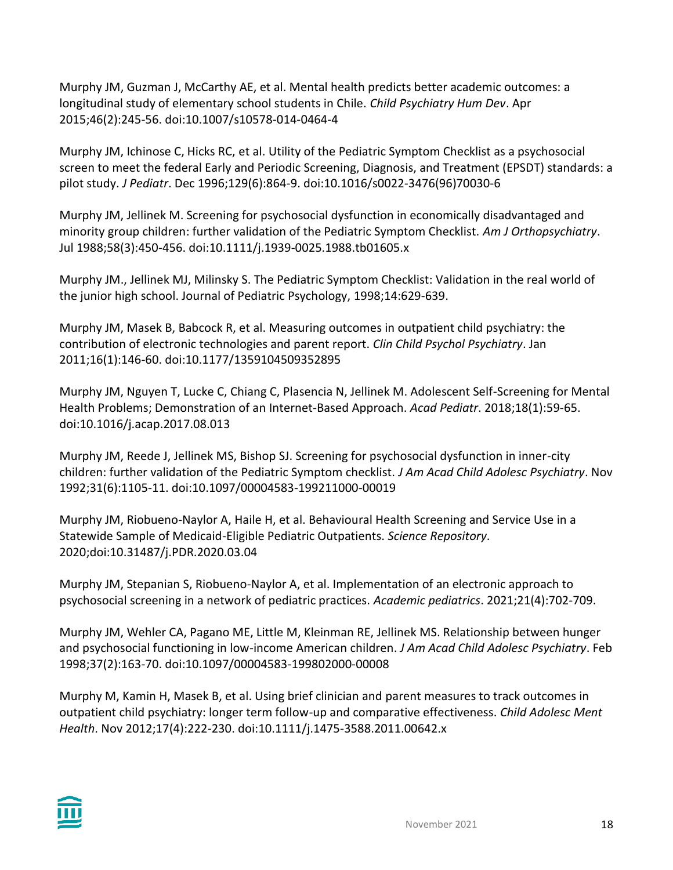Murphy JM, Guzman J, McCarthy AE, et al. Mental health predicts better academic outcomes: a longitudinal study of elementary school students in Chile. *Child Psychiatry Hum Dev*. Apr 2015;46(2):245-56. doi:10.1007/s10578-014-0464-4

Murphy JM, Ichinose C, Hicks RC, et al. Utility of the Pediatric Symptom Checklist as a psychosocial screen to meet the federal Early and Periodic Screening, Diagnosis, and Treatment (EPSDT) standards: a pilot study. *J Pediatr*. Dec 1996;129(6):864-9. doi:10.1016/s0022-3476(96)70030-6

Murphy JM, Jellinek M. Screening for psychosocial dysfunction in economically disadvantaged and minority group children: further validation of the Pediatric Symptom Checklist. *Am J Orthopsychiatry*. Jul 1988;58(3):450-456. doi:10.1111/j.1939-0025.1988.tb01605.x

Murphy JM., Jellinek MJ, Milinsky S. The Pediatric Symptom Checklist: Validation in the real world of the junior high school. Journal of Pediatric Psychology, 1998;14:629-639.

Murphy JM, Masek B, Babcock R, et al. Measuring outcomes in outpatient child psychiatry: the contribution of electronic technologies and parent report. *Clin Child Psychol Psychiatry*. Jan 2011;16(1):146-60. doi:10.1177/1359104509352895

Murphy JM, Nguyen T, Lucke C, Chiang C, Plasencia N, Jellinek M. Adolescent Self-Screening for Mental Health Problems; Demonstration of an Internet-Based Approach. *Acad Pediatr*. 2018;18(1):59-65. doi:10.1016/j.acap.2017.08.013

Murphy JM, Reede J, Jellinek MS, Bishop SJ. Screening for psychosocial dysfunction in inner-city children: further validation of the Pediatric Symptom checklist. *J Am Acad Child Adolesc Psychiatry*. Nov 1992;31(6):1105-11. doi:10.1097/00004583-199211000-00019

Murphy JM, Riobueno-Naylor A, Haile H, et al. Behavioural Health Screening and Service Use in a Statewide Sample of Medicaid-Eligible Pediatric Outpatients. *Science Repository*. 2020;doi:10.31487/j.PDR.2020.03.04

Murphy JM, Stepanian S, Riobueno-Naylor A, et al. Implementation of an electronic approach to psychosocial screening in a network of pediatric practices. *Academic pediatrics*. 2021;21(4):702-709.

Murphy JM, Wehler CA, Pagano ME, Little M, Kleinman RE, Jellinek MS. Relationship between hunger and psychosocial functioning in low-income American children. *J Am Acad Child Adolesc Psychiatry*. Feb 1998;37(2):163-70. doi:10.1097/00004583-199802000-00008

Murphy M, Kamin H, Masek B, et al. Using brief clinician and parent measures to track outcomes in outpatient child psychiatry: longer term follow-up and comparative effectiveness. *Child Adolesc Ment Health*. Nov 2012;17(4):222-230. doi:10.1111/j.1475-3588.2011.00642.x

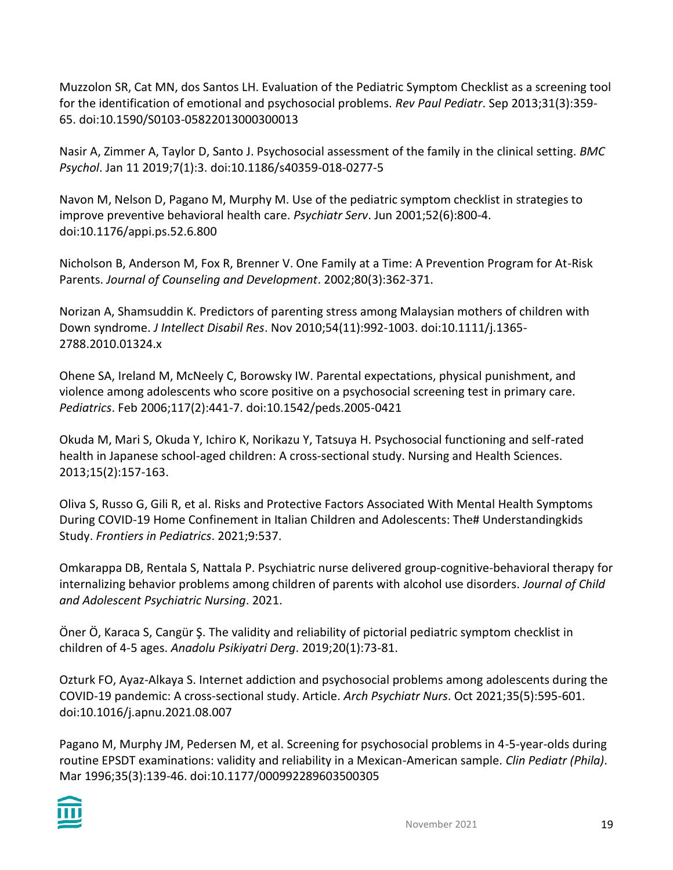Muzzolon SR, Cat MN, dos Santos LH. Evaluation of the Pediatric Symptom Checklist as a screening tool for the identification of emotional and psychosocial problems. *Rev Paul Pediatr*. Sep 2013;31(3):359- 65. doi:10.1590/S0103-05822013000300013

Nasir A, Zimmer A, Taylor D, Santo J. Psychosocial assessment of the family in the clinical setting. *BMC Psychol*. Jan 11 2019;7(1):3. doi:10.1186/s40359-018-0277-5

Navon M, Nelson D, Pagano M, Murphy M. Use of the pediatric symptom checklist in strategies to improve preventive behavioral health care. *Psychiatr Serv*. Jun 2001;52(6):800-4. doi:10.1176/appi.ps.52.6.800

Nicholson B, Anderson M, Fox R, Brenner V. One Family at a Time: A Prevention Program for At-Risk Parents. *Journal of Counseling and Development*. 2002;80(3):362-371.

Norizan A, Shamsuddin K. Predictors of parenting stress among Malaysian mothers of children with Down syndrome. *J Intellect Disabil Res*. Nov 2010;54(11):992-1003. doi:10.1111/j.1365- 2788.2010.01324.x

Ohene SA, Ireland M, McNeely C, Borowsky IW. Parental expectations, physical punishment, and violence among adolescents who score positive on a psychosocial screening test in primary care. *Pediatrics*. Feb 2006;117(2):441-7. doi:10.1542/peds.2005-0421

Okuda M, Mari S, Okuda Y, Ichiro K, Norikazu Y, Tatsuya H. Psychosocial functioning and self-rated health in Japanese school-aged children: A cross-sectional study. Nursing and Health Sciences. 2013;15(2):157-163.

Oliva S, Russo G, Gili R, et al. Risks and Protective Factors Associated With Mental Health Symptoms During COVID-19 Home Confinement in Italian Children and Adolescents: The# Understandingkids Study. *Frontiers in Pediatrics*. 2021;9:537.

Omkarappa DB, Rentala S, Nattala P. Psychiatric nurse delivered group‐cognitive‐behavioral therapy for internalizing behavior problems among children of parents with alcohol use disorders. *Journal of Child and Adolescent Psychiatric Nursing*. 2021.

Öner Ö, Karaca S, Cangür Ş. The validity and reliability of pictorial pediatric symptom checklist in children of 4-5 ages. *Anadolu Psikiyatri Derg*. 2019;20(1):73-81.

Ozturk FO, Ayaz-Alkaya S. Internet addiction and psychosocial problems among adolescents during the COVID-19 pandemic: A cross-sectional study. Article. *Arch Psychiatr Nurs*. Oct 2021;35(5):595-601. doi:10.1016/j.apnu.2021.08.007

Pagano M, Murphy JM, Pedersen M, et al. Screening for psychosocial problems in 4-5-year-olds during routine EPSDT examinations: validity and reliability in a Mexican-American sample. *Clin Pediatr (Phila)*. Mar 1996;35(3):139-46. doi:10.1177/000992289603500305

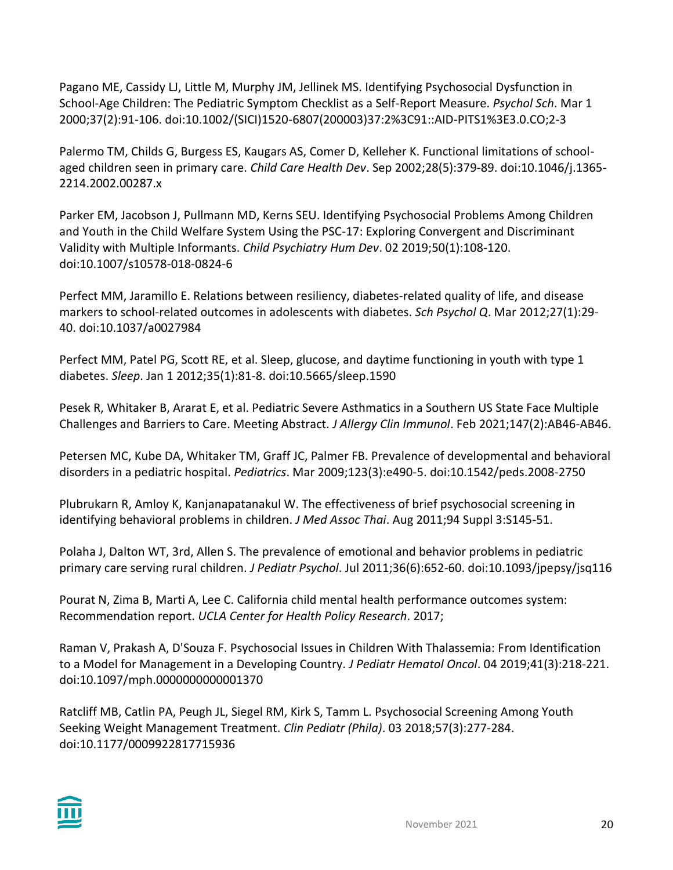Pagano ME, Cassidy LJ, Little M, Murphy JM, Jellinek MS. Identifying Psychosocial Dysfunction in School-Age Children: The Pediatric Symptom Checklist as a Self-Report Measure. *Psychol Sch*. Mar 1 2000;37(2):91-106. doi:10.1002/(SICI)1520-6807(200003)37:2%3C91::AID-PITS1%3E3.0.CO;2-3

Palermo TM, Childs G, Burgess ES, Kaugars AS, Comer D, Kelleher K. Functional limitations of schoolaged children seen in primary care. *Child Care Health Dev*. Sep 2002;28(5):379-89. doi:10.1046/j.1365- 2214.2002.00287.x

Parker EM, Jacobson J, Pullmann MD, Kerns SEU. Identifying Psychosocial Problems Among Children and Youth in the Child Welfare System Using the PSC-17: Exploring Convergent and Discriminant Validity with Multiple Informants. *Child Psychiatry Hum Dev*. 02 2019;50(1):108-120. doi:10.1007/s10578-018-0824-6

Perfect MM, Jaramillo E. Relations between resiliency, diabetes-related quality of life, and disease markers to school-related outcomes in adolescents with diabetes. *Sch Psychol Q*. Mar 2012;27(1):29- 40. doi:10.1037/a0027984

Perfect MM, Patel PG, Scott RE, et al. Sleep, glucose, and daytime functioning in youth with type 1 diabetes. *Sleep*. Jan 1 2012;35(1):81-8. doi:10.5665/sleep.1590

Pesek R, Whitaker B, Ararat E, et al. Pediatric Severe Asthmatics in a Southern US State Face Multiple Challenges and Barriers to Care. Meeting Abstract. *J Allergy Clin Immunol*. Feb 2021;147(2):AB46-AB46.

Petersen MC, Kube DA, Whitaker TM, Graff JC, Palmer FB. Prevalence of developmental and behavioral disorders in a pediatric hospital. *Pediatrics*. Mar 2009;123(3):e490-5. doi:10.1542/peds.2008-2750

Plubrukarn R, Amloy K, Kanjanapatanakul W. The effectiveness of brief psychosocial screening in identifying behavioral problems in children. *J Med Assoc Thai*. Aug 2011;94 Suppl 3:S145-51.

Polaha J, Dalton WT, 3rd, Allen S. The prevalence of emotional and behavior problems in pediatric primary care serving rural children. *J Pediatr Psychol*. Jul 2011;36(6):652-60. doi:10.1093/jpepsy/jsq116

Pourat N, Zima B, Marti A, Lee C. California child mental health performance outcomes system: Recommendation report. *UCLA Center for Health Policy Research*. 2017;

Raman V, Prakash A, D'Souza F. Psychosocial Issues in Children With Thalassemia: From Identification to a Model for Management in a Developing Country. *J Pediatr Hematol Oncol*. 04 2019;41(3):218-221. doi:10.1097/mph.0000000000001370

Ratcliff MB, Catlin PA, Peugh JL, Siegel RM, Kirk S, Tamm L. Psychosocial Screening Among Youth Seeking Weight Management Treatment. *Clin Pediatr (Phila)*. 03 2018;57(3):277-284. doi:10.1177/0009922817715936

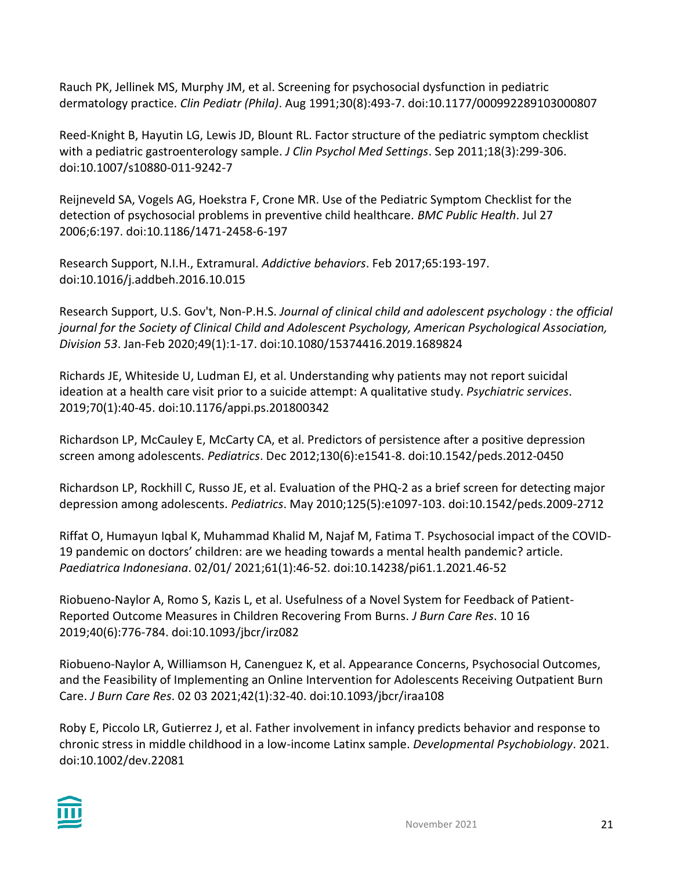Rauch PK, Jellinek MS, Murphy JM, et al. Screening for psychosocial dysfunction in pediatric dermatology practice. *Clin Pediatr (Phila)*. Aug 1991;30(8):493-7. doi:10.1177/000992289103000807

Reed-Knight B, Hayutin LG, Lewis JD, Blount RL. Factor structure of the pediatric symptom checklist with a pediatric gastroenterology sample. *J Clin Psychol Med Settings*. Sep 2011;18(3):299-306. doi:10.1007/s10880-011-9242-7

Reijneveld SA, Vogels AG, Hoekstra F, Crone MR. Use of the Pediatric Symptom Checklist for the detection of psychosocial problems in preventive child healthcare. *BMC Public Health*. Jul 27 2006;6:197. doi:10.1186/1471-2458-6-197

Research Support, N.I.H., Extramural. *Addictive behaviors*. Feb 2017;65:193-197. doi:10.1016/j.addbeh.2016.10.015

Research Support, U.S. Gov't, Non-P.H.S. *Journal of clinical child and adolescent psychology : the official journal for the Society of Clinical Child and Adolescent Psychology, American Psychological Association, Division 53*. Jan-Feb 2020;49(1):1-17. doi:10.1080/15374416.2019.1689824

Richards JE, Whiteside U, Ludman EJ, et al. Understanding why patients may not report suicidal ideation at a health care visit prior to a suicide attempt: A qualitative study. *Psychiatric services*. 2019;70(1):40-45. doi:10.1176/appi.ps.201800342

Richardson LP, McCauley E, McCarty CA, et al. Predictors of persistence after a positive depression screen among adolescents. *Pediatrics*. Dec 2012;130(6):e1541-8. doi:10.1542/peds.2012-0450

Richardson LP, Rockhill C, Russo JE, et al. Evaluation of the PHQ-2 as a brief screen for detecting major depression among adolescents. *Pediatrics*. May 2010;125(5):e1097-103. doi:10.1542/peds.2009-2712

Riffat O, Humayun Iqbal K, Muhammad Khalid M, Najaf M, Fatima T. Psychosocial impact of the COVID-19 pandemic on doctors' children: are we heading towards a mental health pandemic? article. *Paediatrica Indonesiana*. 02/01/ 2021;61(1):46-52. doi:10.14238/pi61.1.2021.46-52

Riobueno-Naylor A, Romo S, Kazis L, et al. Usefulness of a Novel System for Feedback of Patient-Reported Outcome Measures in Children Recovering From Burns. *J Burn Care Res*. 10 16 2019;40(6):776-784. doi:10.1093/jbcr/irz082

Riobueno-Naylor A, Williamson H, Canenguez K, et al. Appearance Concerns, Psychosocial Outcomes, and the Feasibility of Implementing an Online Intervention for Adolescents Receiving Outpatient Burn Care. *J Burn Care Res*. 02 03 2021;42(1):32-40. doi:10.1093/jbcr/iraa108

Roby E, Piccolo LR, Gutierrez J, et al. Father involvement in infancy predicts behavior and response to chronic stress in middle childhood in a low-income Latinx sample. *Developmental Psychobiology*. 2021. doi:10.1002/dev.22081

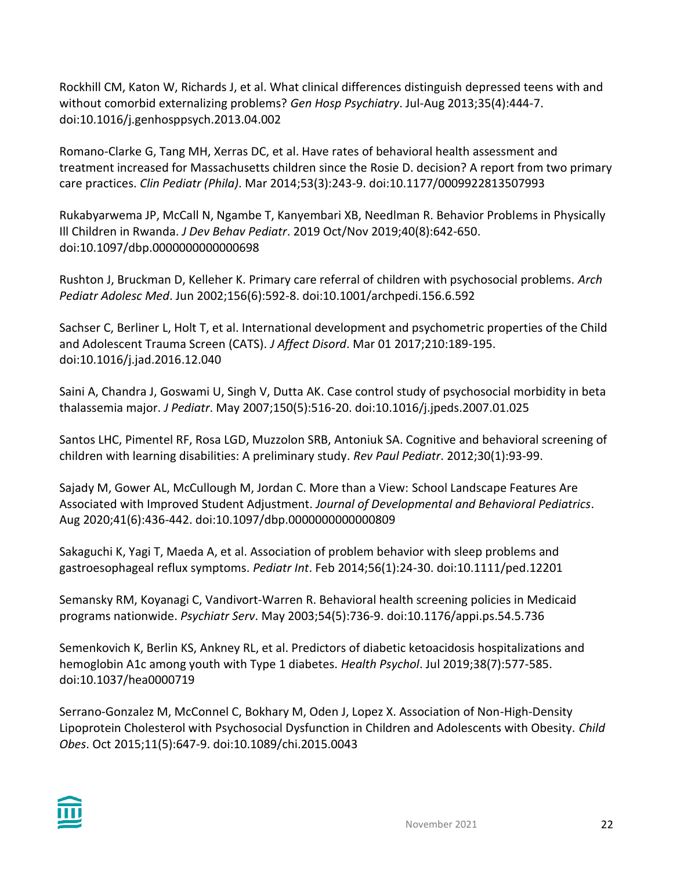Rockhill CM, Katon W, Richards J, et al. What clinical differences distinguish depressed teens with and without comorbid externalizing problems? *Gen Hosp Psychiatry*. Jul-Aug 2013;35(4):444-7. doi:10.1016/j.genhosppsych.2013.04.002

Romano-Clarke G, Tang MH, Xerras DC, et al. Have rates of behavioral health assessment and treatment increased for Massachusetts children since the Rosie D. decision? A report from two primary care practices. *Clin Pediatr (Phila)*. Mar 2014;53(3):243-9. doi:10.1177/0009922813507993

Rukabyarwema JP, McCall N, Ngambe T, Kanyembari XB, Needlman R. Behavior Problems in Physically Ill Children in Rwanda. *J Dev Behav Pediatr*. 2019 Oct/Nov 2019;40(8):642-650. doi:10.1097/dbp.0000000000000698

Rushton J, Bruckman D, Kelleher K. Primary care referral of children with psychosocial problems. *Arch Pediatr Adolesc Med*. Jun 2002;156(6):592-8. doi:10.1001/archpedi.156.6.592

Sachser C, Berliner L, Holt T, et al. International development and psychometric properties of the Child and Adolescent Trauma Screen (CATS). *J Affect Disord*. Mar 01 2017;210:189-195. doi:10.1016/j.jad.2016.12.040

Saini A, Chandra J, Goswami U, Singh V, Dutta AK. Case control study of psychosocial morbidity in beta thalassemia major. *J Pediatr*. May 2007;150(5):516-20. doi:10.1016/j.jpeds.2007.01.025

Santos LHC, Pimentel RF, Rosa LGD, Muzzolon SRB, Antoniuk SA. Cognitive and behavioral screening of children with learning disabilities: A preliminary study. *Rev Paul Pediatr*. 2012;30(1):93-99.

Sajady M, Gower AL, McCullough M, Jordan C. More than a View: School Landscape Features Are Associated with Improved Student Adjustment. *Journal of Developmental and Behavioral Pediatrics*. Aug 2020;41(6):436-442. doi:10.1097/dbp.0000000000000809

Sakaguchi K, Yagi T, Maeda A, et al. Association of problem behavior with sleep problems and gastroesophageal reflux symptoms. *Pediatr Int*. Feb 2014;56(1):24-30. doi:10.1111/ped.12201

Semansky RM, Koyanagi C, Vandivort-Warren R. Behavioral health screening policies in Medicaid programs nationwide. *Psychiatr Serv*. May 2003;54(5):736-9. doi:10.1176/appi.ps.54.5.736

Semenkovich K, Berlin KS, Ankney RL, et al. Predictors of diabetic ketoacidosis hospitalizations and hemoglobin A1c among youth with Type 1 diabetes. *Health Psychol*. Jul 2019;38(7):577-585. doi:10.1037/hea0000719

Serrano-Gonzalez M, McConnel C, Bokhary M, Oden J, Lopez X. Association of Non-High-Density Lipoprotein Cholesterol with Psychosocial Dysfunction in Children and Adolescents with Obesity. *Child Obes*. Oct 2015;11(5):647-9. doi:10.1089/chi.2015.0043

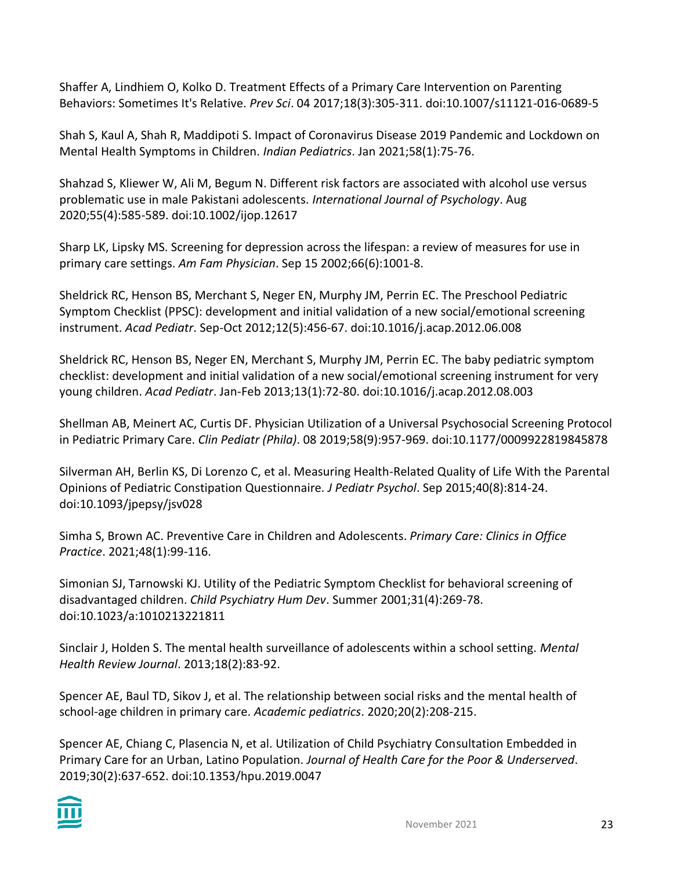Shaffer A, Lindhiem O, Kolko D. Treatment Effects of a Primary Care Intervention on Parenting Behaviors: Sometimes It's Relative. *Prev Sci*. 04 2017;18(3):305-311. doi:10.1007/s11121-016-0689-5

Shah S, Kaul A, Shah R, Maddipoti S. Impact of Coronavirus Disease 2019 Pandemic and Lockdown on Mental Health Symptoms in Children. *Indian Pediatrics*. Jan 2021;58(1):75-76.

Shahzad S, Kliewer W, Ali M, Begum N. Different risk factors are associated with alcohol use versus problematic use in male Pakistani adolescents. *International Journal of Psychology*. Aug 2020;55(4):585-589. doi:10.1002/ijop.12617

Sharp LK, Lipsky MS. Screening for depression across the lifespan: a review of measures for use in primary care settings. *Am Fam Physician*. Sep 15 2002;66(6):1001-8.

Sheldrick RC, Henson BS, Merchant S, Neger EN, Murphy JM, Perrin EC. The Preschool Pediatric Symptom Checklist (PPSC): development and initial validation of a new social/emotional screening instrument. *Acad Pediatr*. Sep-Oct 2012;12(5):456-67. doi:10.1016/j.acap.2012.06.008

Sheldrick RC, Henson BS, Neger EN, Merchant S, Murphy JM, Perrin EC. The baby pediatric symptom checklist: development and initial validation of a new social/emotional screening instrument for very young children. *Acad Pediatr*. Jan-Feb 2013;13(1):72-80. doi:10.1016/j.acap.2012.08.003

Shellman AB, Meinert AC, Curtis DF. Physician Utilization of a Universal Psychosocial Screening Protocol in Pediatric Primary Care. *Clin Pediatr (Phila)*. 08 2019;58(9):957-969. doi:10.1177/0009922819845878

Silverman AH, Berlin KS, Di Lorenzo C, et al. Measuring Health-Related Quality of Life With the Parental Opinions of Pediatric Constipation Questionnaire. *J Pediatr Psychol*. Sep 2015;40(8):814-24. doi:10.1093/jpepsy/jsv028

Simha S, Brown AC. Preventive Care in Children and Adolescents. *Primary Care: Clinics in Office Practice*. 2021;48(1):99-116.

Simonian SJ, Tarnowski KJ. Utility of the Pediatric Symptom Checklist for behavioral screening of disadvantaged children. *Child Psychiatry Hum Dev*. Summer 2001;31(4):269-78. doi:10.1023/a:1010213221811

Sinclair J, Holden S. The mental health surveillance of adolescents within a school setting. *Mental Health Review Journal*. 2013;18(2):83-92.

Spencer AE, Baul TD, Sikov J, et al. The relationship between social risks and the mental health of school-age children in primary care. *Academic pediatrics*. 2020;20(2):208-215.

Spencer AE, Chiang C, Plasencia N, et al. Utilization of Child Psychiatry Consultation Embedded in Primary Care for an Urban, Latino Population. *Journal of Health Care for the Poor & Underserved*. 2019;30(2):637-652. doi:10.1353/hpu.2019.0047

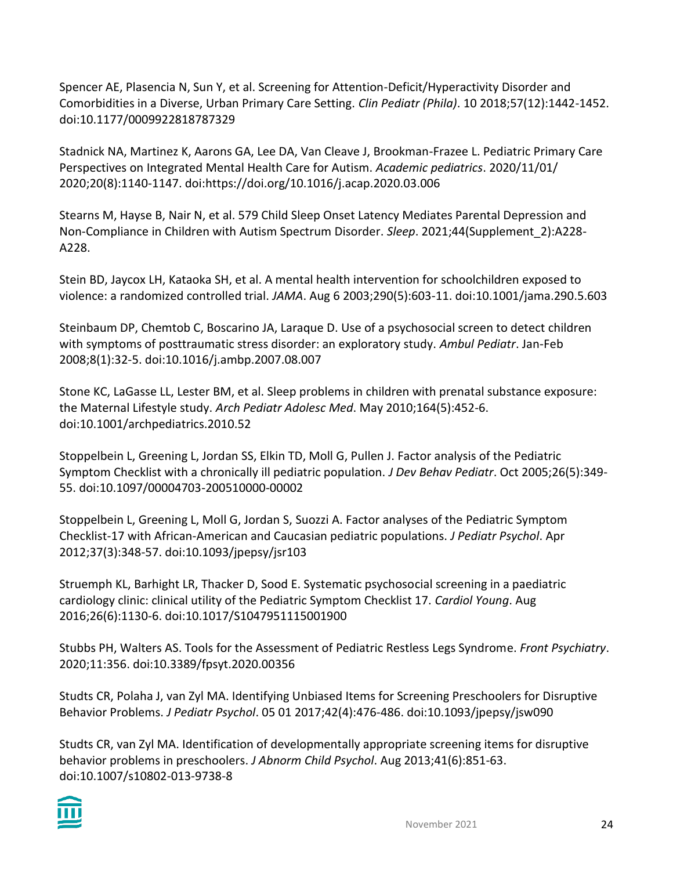Spencer AE, Plasencia N, Sun Y, et al. Screening for Attention-Deficit/Hyperactivity Disorder and Comorbidities in a Diverse, Urban Primary Care Setting. *Clin Pediatr (Phila)*. 10 2018;57(12):1442-1452. doi:10.1177/0009922818787329

Stadnick NA, Martinez K, Aarons GA, Lee DA, Van Cleave J, Brookman-Frazee L. Pediatric Primary Care Perspectives on Integrated Mental Health Care for Autism. *Academic pediatrics*. 2020/11/01/ 2020;20(8):1140-1147. doi:https://doi.org/10.1016/j.acap.2020.03.006

Stearns M, Hayse B, Nair N, et al. 579 Child Sleep Onset Latency Mediates Parental Depression and Non-Compliance in Children with Autism Spectrum Disorder. *Sleep*. 2021;44(Supplement\_2):A228- A228.

Stein BD, Jaycox LH, Kataoka SH, et al. A mental health intervention for schoolchildren exposed to violence: a randomized controlled trial. *JAMA*. Aug 6 2003;290(5):603-11. doi:10.1001/jama.290.5.603

Steinbaum DP, Chemtob C, Boscarino JA, Laraque D. Use of a psychosocial screen to detect children with symptoms of posttraumatic stress disorder: an exploratory study. *Ambul Pediatr*. Jan-Feb 2008;8(1):32-5. doi:10.1016/j.ambp.2007.08.007

Stone KC, LaGasse LL, Lester BM, et al. Sleep problems in children with prenatal substance exposure: the Maternal Lifestyle study. *Arch Pediatr Adolesc Med*. May 2010;164(5):452-6. doi:10.1001/archpediatrics.2010.52

Stoppelbein L, Greening L, Jordan SS, Elkin TD, Moll G, Pullen J. Factor analysis of the Pediatric Symptom Checklist with a chronically ill pediatric population. *J Dev Behav Pediatr*. Oct 2005;26(5):349- 55. doi:10.1097/00004703-200510000-00002

Stoppelbein L, Greening L, Moll G, Jordan S, Suozzi A. Factor analyses of the Pediatric Symptom Checklist-17 with African-American and Caucasian pediatric populations. *J Pediatr Psychol*. Apr 2012;37(3):348-57. doi:10.1093/jpepsy/jsr103

Struemph KL, Barhight LR, Thacker D, Sood E. Systematic psychosocial screening in a paediatric cardiology clinic: clinical utility of the Pediatric Symptom Checklist 17. *Cardiol Young*. Aug 2016;26(6):1130-6. doi:10.1017/S1047951115001900

Stubbs PH, Walters AS. Tools for the Assessment of Pediatric Restless Legs Syndrome. *Front Psychiatry*. 2020;11:356. doi:10.3389/fpsyt.2020.00356

Studts CR, Polaha J, van Zyl MA. Identifying Unbiased Items for Screening Preschoolers for Disruptive Behavior Problems. *J Pediatr Psychol*. 05 01 2017;42(4):476-486. doi:10.1093/jpepsy/jsw090

Studts CR, van Zyl MA. Identification of developmentally appropriate screening items for disruptive behavior problems in preschoolers. *J Abnorm Child Psychol*. Aug 2013;41(6):851-63. doi:10.1007/s10802-013-9738-8

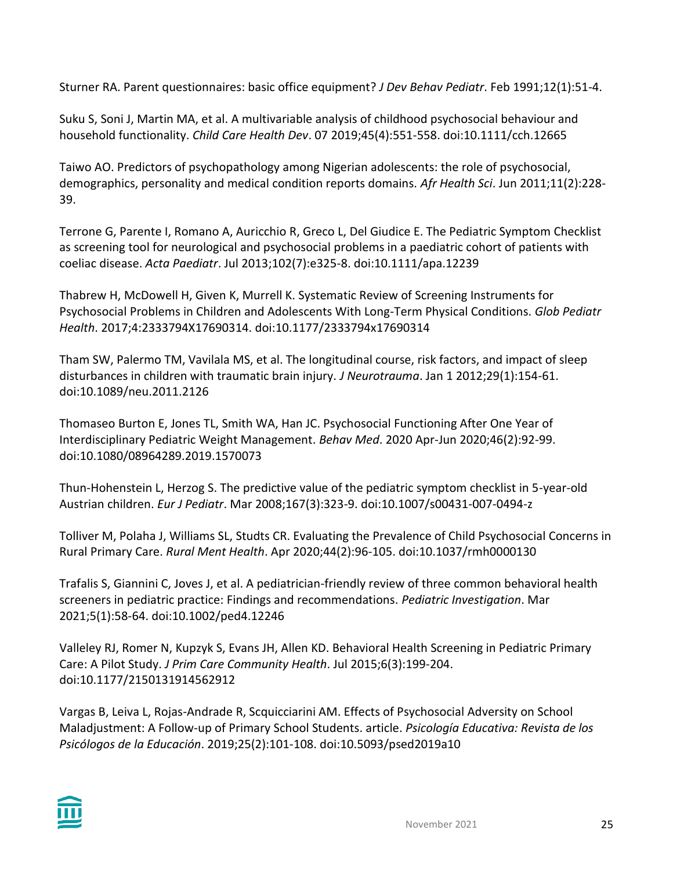Sturner RA. Parent questionnaires: basic office equipment? *J Dev Behav Pediatr*. Feb 1991;12(1):51-4.

Suku S, Soni J, Martin MA, et al. A multivariable analysis of childhood psychosocial behaviour and household functionality. *Child Care Health Dev*. 07 2019;45(4):551-558. doi:10.1111/cch.12665

Taiwo AO. Predictors of psychopathology among Nigerian adolescents: the role of psychosocial, demographics, personality and medical condition reports domains. *Afr Health Sci*. Jun 2011;11(2):228- 39.

Terrone G, Parente I, Romano A, Auricchio R, Greco L, Del Giudice E. The Pediatric Symptom Checklist as screening tool for neurological and psychosocial problems in a paediatric cohort of patients with coeliac disease. *Acta Paediatr*. Jul 2013;102(7):e325-8. doi:10.1111/apa.12239

Thabrew H, McDowell H, Given K, Murrell K. Systematic Review of Screening Instruments for Psychosocial Problems in Children and Adolescents With Long-Term Physical Conditions. *Glob Pediatr Health*. 2017;4:2333794X17690314. doi:10.1177/2333794x17690314

Tham SW, Palermo TM, Vavilala MS, et al. The longitudinal course, risk factors, and impact of sleep disturbances in children with traumatic brain injury. *J Neurotrauma*. Jan 1 2012;29(1):154-61. doi:10.1089/neu.2011.2126

Thomaseo Burton E, Jones TL, Smith WA, Han JC. Psychosocial Functioning After One Year of Interdisciplinary Pediatric Weight Management. *Behav Med*. 2020 Apr-Jun 2020;46(2):92-99. doi:10.1080/08964289.2019.1570073

Thun-Hohenstein L, Herzog S. The predictive value of the pediatric symptom checklist in 5-year-old Austrian children. *Eur J Pediatr*. Mar 2008;167(3):323-9. doi:10.1007/s00431-007-0494-z

Tolliver M, Polaha J, Williams SL, Studts CR. Evaluating the Prevalence of Child Psychosocial Concerns in Rural Primary Care. *Rural Ment Health*. Apr 2020;44(2):96-105. doi:10.1037/rmh0000130

Trafalis S, Giannini C, Joves J, et al. A pediatrician-friendly review of three common behavioral health screeners in pediatric practice: Findings and recommendations. *Pediatric Investigation*. Mar 2021;5(1):58-64. doi:10.1002/ped4.12246

Valleley RJ, Romer N, Kupzyk S, Evans JH, Allen KD. Behavioral Health Screening in Pediatric Primary Care: A Pilot Study. *J Prim Care Community Health*. Jul 2015;6(3):199-204. doi:10.1177/2150131914562912

Vargas B, Leiva L, Rojas-Andrade R, Scquicciarini AM. Effects of Psychosocial Adversity on School Maladjustment: A Follow-up of Primary School Students. article. *Psicología Educativa: Revista de los Psicólogos de la Educación*. 2019;25(2):101-108. doi:10.5093/psed2019a10

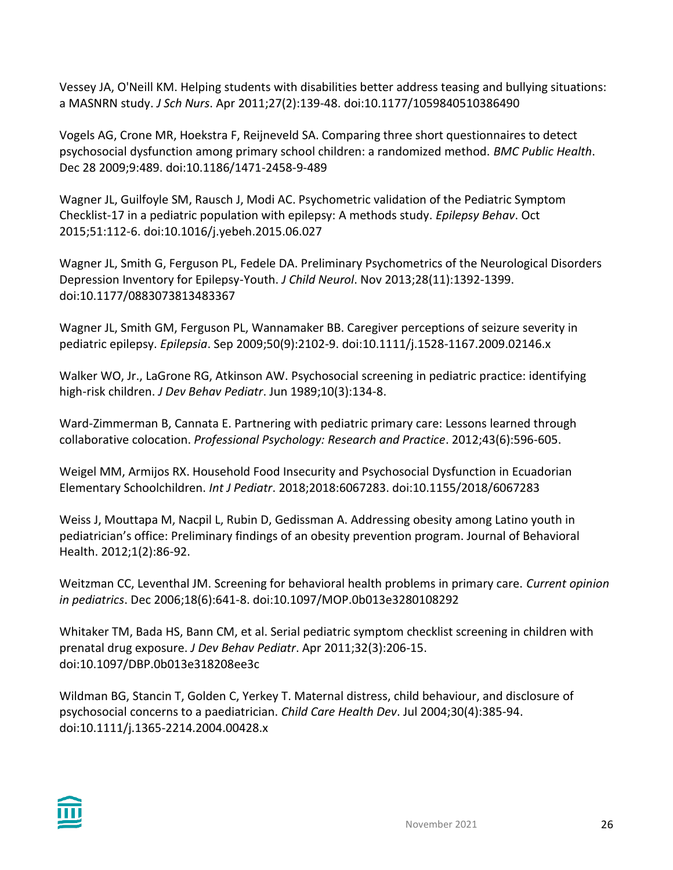Vessey JA, O'Neill KM. Helping students with disabilities better address teasing and bullying situations: a MASNRN study. *J Sch Nurs*. Apr 2011;27(2):139-48. doi:10.1177/1059840510386490

Vogels AG, Crone MR, Hoekstra F, Reijneveld SA. Comparing three short questionnaires to detect psychosocial dysfunction among primary school children: a randomized method. *BMC Public Health*. Dec 28 2009;9:489. doi:10.1186/1471-2458-9-489

Wagner JL, Guilfoyle SM, Rausch J, Modi AC. Psychometric validation of the Pediatric Symptom Checklist-17 in a pediatric population with epilepsy: A methods study. *Epilepsy Behav*. Oct 2015;51:112-6. doi:10.1016/j.yebeh.2015.06.027

Wagner JL, Smith G, Ferguson PL, Fedele DA. Preliminary Psychometrics of the Neurological Disorders Depression Inventory for Epilepsy-Youth. *J Child Neurol*. Nov 2013;28(11):1392-1399. doi:10.1177/0883073813483367

Wagner JL, Smith GM, Ferguson PL, Wannamaker BB. Caregiver perceptions of seizure severity in pediatric epilepsy. *Epilepsia*. Sep 2009;50(9):2102-9. doi:10.1111/j.1528-1167.2009.02146.x

Walker WO, Jr., LaGrone RG, Atkinson AW. Psychosocial screening in pediatric practice: identifying high-risk children. *J Dev Behav Pediatr*. Jun 1989;10(3):134-8.

Ward-Zimmerman B, Cannata E. Partnering with pediatric primary care: Lessons learned through collaborative colocation. *Professional Psychology: Research and Practice*. 2012;43(6):596-605.

Weigel MM, Armijos RX. Household Food Insecurity and Psychosocial Dysfunction in Ecuadorian Elementary Schoolchildren. *Int J Pediatr*. 2018;2018:6067283. doi:10.1155/2018/6067283

Weiss J, Mouttapa M, Nacpil L, Rubin D, Gedissman A. Addressing obesity among Latino youth in pediatrician's office: Preliminary findings of an obesity prevention program. Journal of Behavioral Health. 2012;1(2):86-92.

Weitzman CC, Leventhal JM. Screening for behavioral health problems in primary care. *Current opinion in pediatrics*. Dec 2006;18(6):641-8. doi:10.1097/MOP.0b013e3280108292

Whitaker TM, Bada HS, Bann CM, et al. Serial pediatric symptom checklist screening in children with prenatal drug exposure. *J Dev Behav Pediatr*. Apr 2011;32(3):206-15. doi:10.1097/DBP.0b013e318208ee3c

Wildman BG, Stancin T, Golden C, Yerkey T. Maternal distress, child behaviour, and disclosure of psychosocial concerns to a paediatrician. *Child Care Health Dev*. Jul 2004;30(4):385-94. doi:10.1111/j.1365-2214.2004.00428.x

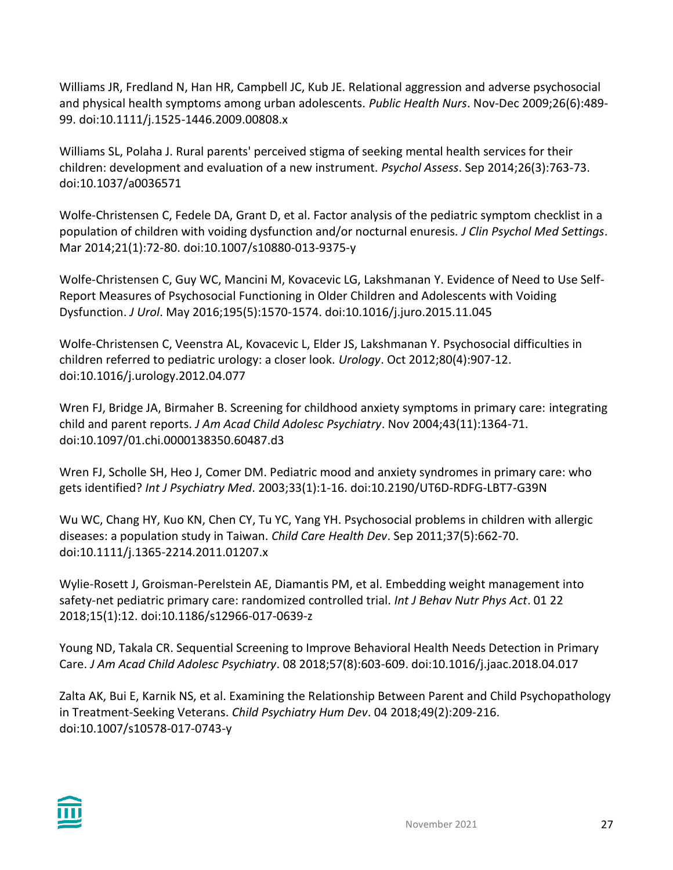Williams JR, Fredland N, Han HR, Campbell JC, Kub JE. Relational aggression and adverse psychosocial and physical health symptoms among urban adolescents. *Public Health Nurs*. Nov-Dec 2009;26(6):489- 99. doi:10.1111/j.1525-1446.2009.00808.x

Williams SL, Polaha J. Rural parents' perceived stigma of seeking mental health services for their children: development and evaluation of a new instrument. *Psychol Assess*. Sep 2014;26(3):763-73. doi:10.1037/a0036571

Wolfe-Christensen C, Fedele DA, Grant D, et al. Factor analysis of the pediatric symptom checklist in a population of children with voiding dysfunction and/or nocturnal enuresis. *J Clin Psychol Med Settings*. Mar 2014;21(1):72-80. doi:10.1007/s10880-013-9375-y

Wolfe-Christensen C, Guy WC, Mancini M, Kovacevic LG, Lakshmanan Y. Evidence of Need to Use Self-Report Measures of Psychosocial Functioning in Older Children and Adolescents with Voiding Dysfunction. *J Urol*. May 2016;195(5):1570-1574. doi:10.1016/j.juro.2015.11.045

Wolfe-Christensen C, Veenstra AL, Kovacevic L, Elder JS, Lakshmanan Y. Psychosocial difficulties in children referred to pediatric urology: a closer look. *Urology*. Oct 2012;80(4):907-12. doi:10.1016/j.urology.2012.04.077

Wren FJ, Bridge JA, Birmaher B. Screening for childhood anxiety symptoms in primary care: integrating child and parent reports. *J Am Acad Child Adolesc Psychiatry*. Nov 2004;43(11):1364-71. doi:10.1097/01.chi.0000138350.60487.d3

Wren FJ, Scholle SH, Heo J, Comer DM. Pediatric mood and anxiety syndromes in primary care: who gets identified? *Int J Psychiatry Med*. 2003;33(1):1-16. doi:10.2190/UT6D-RDFG-LBT7-G39N

Wu WC, Chang HY, Kuo KN, Chen CY, Tu YC, Yang YH. Psychosocial problems in children with allergic diseases: a population study in Taiwan. *Child Care Health Dev*. Sep 2011;37(5):662-70. doi:10.1111/j.1365-2214.2011.01207.x

Wylie-Rosett J, Groisman-Perelstein AE, Diamantis PM, et al. Embedding weight management into safety-net pediatric primary care: randomized controlled trial. *Int J Behav Nutr Phys Act*. 01 22 2018;15(1):12. doi:10.1186/s12966-017-0639-z

Young ND, Takala CR. Sequential Screening to Improve Behavioral Health Needs Detection in Primary Care. *J Am Acad Child Adolesc Psychiatry*. 08 2018;57(8):603-609. doi:10.1016/j.jaac.2018.04.017

Zalta AK, Bui E, Karnik NS, et al. Examining the Relationship Between Parent and Child Psychopathology in Treatment-Seeking Veterans. *Child Psychiatry Hum Dev*. 04 2018;49(2):209-216. doi:10.1007/s10578-017-0743-y